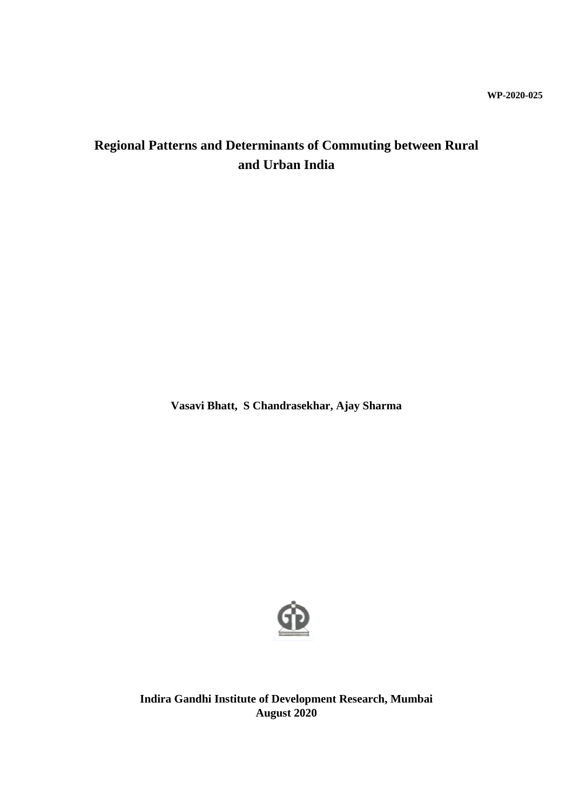# **Regional Patterns and Determinants of Commuting between Rural and Urban India**

**Vasavi Bhatt, S Chandrasekhar, Ajay Sharma**



**Indira Gandhi Institute of Development Research, Mumbai August 2020**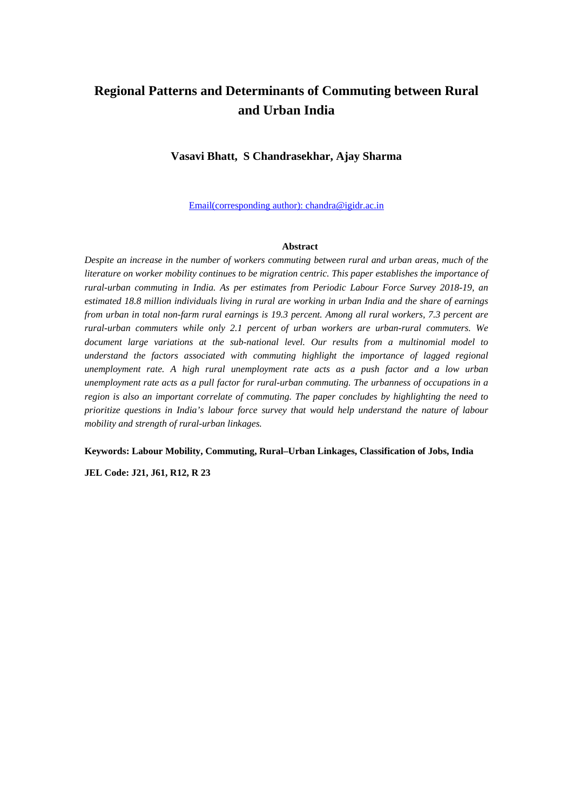## **Regional Patterns and Determinants of Commuting between Rural and Urban India**

### **Vasavi Bhatt, S Chandrasekhar, Ajay Sharma**

Email(corresponding author): chandra@igidr.ac.in

#### **Abstract**

*Despite an increase in the number of workers commuting between rural and urban areas, much of the literature on worker mobility continues to be migration centric. This paper establishes the importance of rural-urban commuting in India. As per estimates from Periodic Labour Force Survey 2018-19, an estimated 18.8 million individuals living in rural are working in urban India and the share of earnings from urban in total non-farm rural earnings is 19.3 percent. Among all rural workers, 7.3 percent are rural-urban commuters while only 2.1 percent of urban workers are urban-rural commuters. We document large variations at the sub-national level. Our results from a multinomial model to understand the factors associated with commuting highlight the importance of lagged regional unemployment rate. A high rural unemployment rate acts as a push factor and a low urban unemployment rate acts as a pull factor for rural-urban commuting. The urbanness of occupations in a region is also an important correlate of commuting. The paper concludes by highlighting the need to prioritize questions in India's labour force survey that would help understand the nature of labour mobility and strength of rural-urban linkages.* 

**Keywords: Labour Mobility, Commuting, Rural–Urban Linkages, Classification of Jobs, India**

**JEL Code: J21, J61, R12, R 23**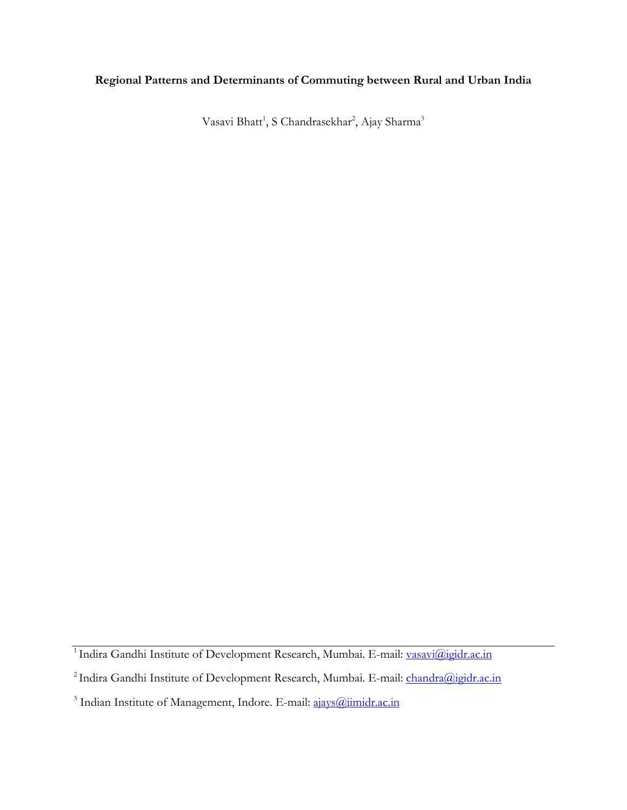### **Regional Patterns and Determinants of Commuting between Rural and Urban India**

Vasavi Bhatt $^1$ , S Chandrasekhar $^2$ , Ajay Sharma $^3$ 

<sup>&</sup>lt;sup>1</sup> Indira Gandhi Institute of Development Research, Mumbai. E-mail: vasavi@igidr.ac.in

<sup>&</sup>lt;sup>2</sup> Indira Gandhi Institute of Development Research, Mumbai. E-mail: <u>chandra@igidr.ac.in</u>

<sup>&</sup>lt;sup>3</sup> Indian Institute of Management, Indore. E-mail: ajays@iimidr.ac.in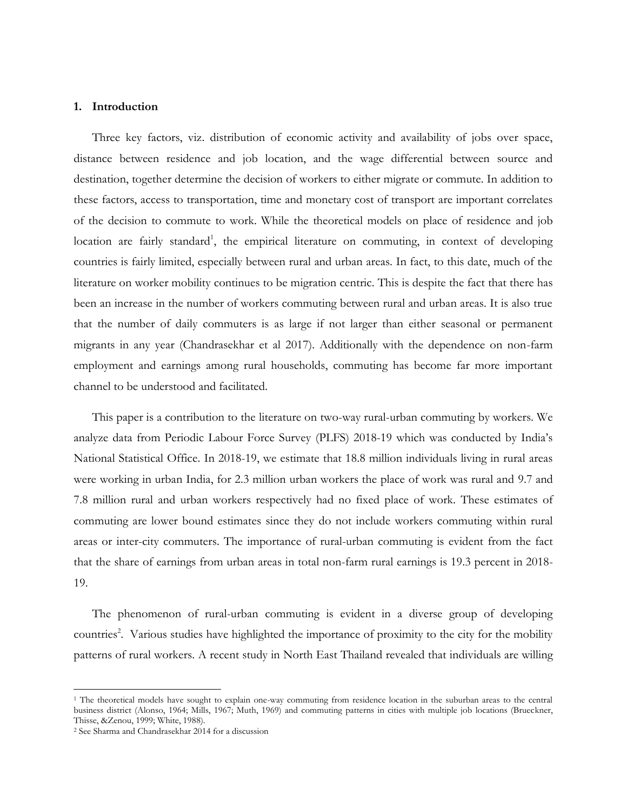### **1. Introduction**

Three key factors, viz. distribution of economic activity and availability of jobs over space, distance between residence and job location, and the wage differential between source and destination, together determine the decision of workers to either migrate or commute. In addition to these factors, access to transportation, time and monetary cost of transport are important correlates of the decision to commute to work. While the theoretical models on place of residence and job location are fairly standard<sup>1</sup>, the empirical literature on commuting, in context of developing countries is fairly limited, especially between rural and urban areas. In fact, to this date, much of the literature on worker mobility continues to be migration centric. This is despite the fact that there has been an increase in the number of workers commuting between rural and urban areas. It is also true that the number of daily commuters is as large if not larger than either seasonal or permanent migrants in any year (Chandrasekhar et al 2017). Additionally with the dependence on non-farm employment and earnings among rural households, commuting has become far more important channel to be understood and facilitated.

This paper is a contribution to the literature on two-way rural-urban commuting by workers. We analyze data from Periodic Labour Force Survey (PLFS) 2018-19 which was conducted by India's National Statistical Office. In 2018-19, we estimate that 18.8 million individuals living in rural areas were working in urban India, for 2.3 million urban workers the place of work was rural and 9.7 and 7.8 million rural and urban workers respectively had no fixed place of work. These estimates of commuting are lower bound estimates since they do not include workers commuting within rural areas or inter-city commuters. The importance of rural-urban commuting is evident from the fact that the share of earnings from urban areas in total non-farm rural earnings is 19.3 percent in 2018- 19.

The phenomenon of rural-urban commuting is evident in a diverse group of developing countries<sup>2</sup>. Various studies have highlighted the importance of proximity to the city for the mobility patterns of rural workers. A recent study in North East Thailand revealed that individuals are willing

 $\overline{\phantom{a}}$ 

<sup>&</sup>lt;sup>1</sup> The theoretical models have sought to explain one-way commuting from residence location in the suburban areas to the central business district (Alonso, 1964; Mills, 1967; Muth, 1969) and commuting patterns in cities with multiple job locations (Brueckner, Thisse, &Zenou, 1999; White, 1988).

<sup>2</sup> See Sharma and Chandrasekhar 2014 for a discussion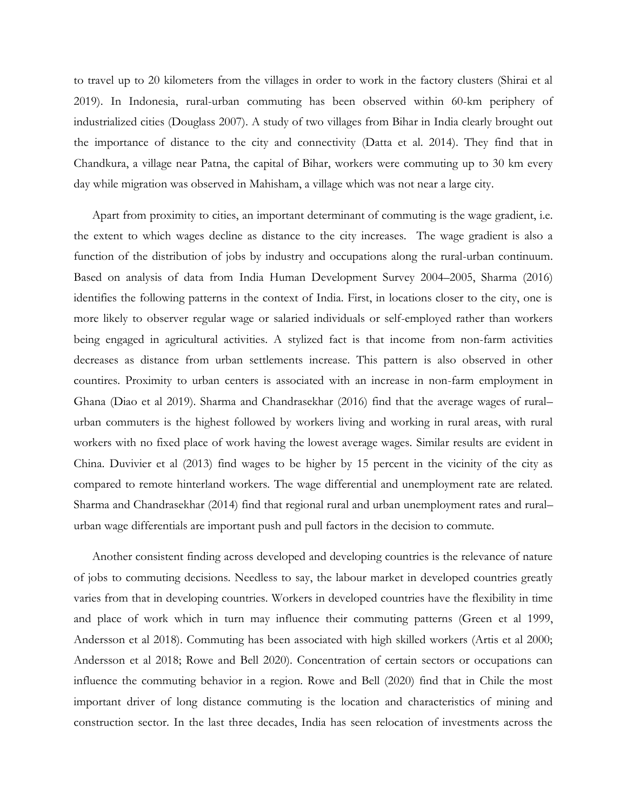to travel up to 20 kilometers from the villages in order to work in the factory clusters (Shirai et al 2019). In Indonesia, rural-urban commuting has been observed within 60-km periphery of industrialized cities (Douglass 2007). A study of two villages from Bihar in India clearly brought out the importance of distance to the city and connectivity (Datta et al. 2014). They find that in Chandkura, a village near Patna, the capital of Bihar, workers were commuting up to 30 km every day while migration was observed in Mahisham, a village which was not near a large city.

Apart from proximity to cities, an important determinant of commuting is the wage gradient, i.e. the extent to which wages decline as distance to the city increases. The wage gradient is also a function of the distribution of jobs by industry and occupations along the rural-urban continuum. Based on analysis of data from India Human Development Survey 2004–2005, Sharma (2016) identifies the following patterns in the context of India. First, in locations closer to the city, one is more likely to observer regular wage or salaried individuals or self-employed rather than workers being engaged in agricultural activities. A stylized fact is that income from non-farm activities decreases as distance from urban settlements increase. This pattern is also observed in other countires. Proximity to urban centers is associated with an increase in non-farm employment in Ghana (Diao et al 2019). Sharma and Chandrasekhar (2016) find that the average wages of rural– urban commuters is the highest followed by workers living and working in rural areas, with rural workers with no fixed place of work having the lowest average wages. Similar results are evident in China. Duvivier et al (2013) find wages to be higher by 15 percent in the vicinity of the city as compared to remote hinterland workers. The wage differential and unemployment rate are related. Sharma and Chandrasekhar (2014) find that regional rural and urban unemployment rates and rural– urban wage differentials are important push and pull factors in the decision to commute.

Another consistent finding across developed and developing countries is the relevance of nature of jobs to commuting decisions. Needless to say, the labour market in developed countries greatly varies from that in developing countries. Workers in developed countries have the flexibility in time and place of work which in turn may influence their commuting patterns (Green et al 1999, Andersson et al 2018). Commuting has been associated with high skilled workers (Artis et al 2000; Andersson et al 2018; Rowe and Bell 2020). Concentration of certain sectors or occupations can influence the commuting behavior in a region. Rowe and Bell (2020) find that in Chile the most important driver of long distance commuting is the location and characteristics of mining and construction sector. In the last three decades, India has seen relocation of investments across the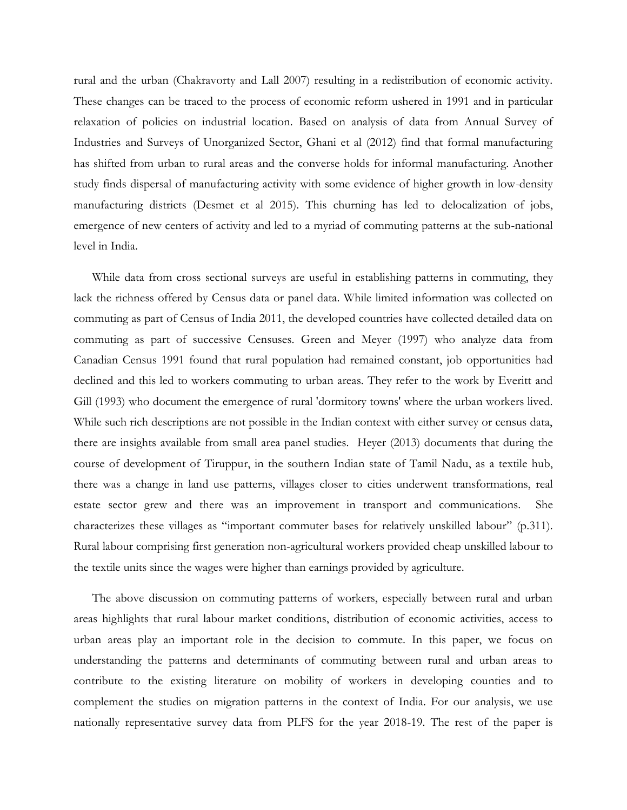rural and the urban (Chakravorty and Lall 2007) resulting in a redistribution of economic activity. These changes can be traced to the process of economic reform ushered in 1991 and in particular relaxation of policies on industrial location. Based on analysis of data from Annual Survey of Industries and Surveys of Unorganized Sector, Ghani et al (2012) find that formal manufacturing has shifted from urban to rural areas and the converse holds for informal manufacturing. Another study finds dispersal of manufacturing activity with some evidence of higher growth in low-density manufacturing districts (Desmet et al 2015). This churning has led to delocalization of jobs, emergence of new centers of activity and led to a myriad of commuting patterns at the sub-national level in India.

While data from cross sectional surveys are useful in establishing patterns in commuting, they lack the richness offered by Census data or panel data. While limited information was collected on commuting as part of Census of India 2011, the developed countries have collected detailed data on commuting as part of successive Censuses. Green and Meyer (1997) who analyze data from Canadian Census 1991 found that rural population had remained constant, job opportunities had declined and this led to workers commuting to urban areas. They refer to the work by Everitt and Gill (1993) who document the emergence of rural 'dormitory towns' where the urban workers lived. While such rich descriptions are not possible in the Indian context with either survey or census data, there are insights available from small area panel studies. Heyer (2013) documents that during the course of development of Tiruppur, in the southern Indian state of Tamil Nadu, as a textile hub, there was a change in land use patterns, villages closer to cities underwent transformations, real estate sector grew and there was an improvement in transport and communications. She characterizes these villages as "important commuter bases for relatively unskilled labour" (p.311). Rural labour comprising first generation non-agricultural workers provided cheap unskilled labour to the textile units since the wages were higher than earnings provided by agriculture.

The above discussion on commuting patterns of workers, especially between rural and urban areas highlights that rural labour market conditions, distribution of economic activities, access to urban areas play an important role in the decision to commute. In this paper, we focus on understanding the patterns and determinants of commuting between rural and urban areas to contribute to the existing literature on mobility of workers in developing counties and to complement the studies on migration patterns in the context of India. For our analysis, we use nationally representative survey data from PLFS for the year 2018-19. The rest of the paper is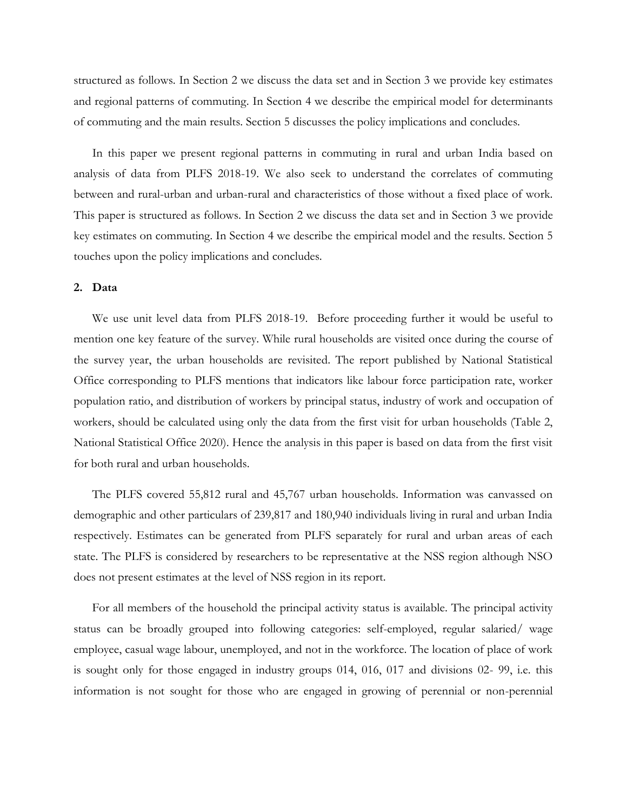structured as follows. In Section 2 we discuss the data set and in Section 3 we provide key estimates and regional patterns of commuting. In Section 4 we describe the empirical model for determinants of commuting and the main results. Section 5 discusses the policy implications and concludes.

In this paper we present regional patterns in commuting in rural and urban India based on analysis of data from PLFS 2018-19. We also seek to understand the correlates of commuting between and rural-urban and urban-rural and characteristics of those without a fixed place of work. This paper is structured as follows. In Section 2 we discuss the data set and in Section 3 we provide key estimates on commuting. In Section 4 we describe the empirical model and the results. Section 5 touches upon the policy implications and concludes.

#### **2. Data**

We use unit level data from PLFS 2018-19. Before proceeding further it would be useful to mention one key feature of the survey. While rural households are visited once during the course of the survey year, the urban households are revisited. The report published by National Statistical Office corresponding to PLFS mentions that indicators like labour force participation rate, worker population ratio, and distribution of workers by principal status, industry of work and occupation of workers, should be calculated using only the data from the first visit for urban households (Table 2, National Statistical Office 2020). Hence the analysis in this paper is based on data from the first visit for both rural and urban households.

The PLFS covered 55,812 rural and 45,767 urban households. Information was canvassed on demographic and other particulars of 239,817 and 180,940 individuals living in rural and urban India respectively. Estimates can be generated from PLFS separately for rural and urban areas of each state. The PLFS is considered by researchers to be representative at the NSS region although NSO does not present estimates at the level of NSS region in its report.

For all members of the household the principal activity status is available. The principal activity status can be broadly grouped into following categories: self-employed, regular salaried/ wage employee, casual wage labour, unemployed, and not in the workforce. The location of place of work is sought only for those engaged in industry groups 014, 016, 017 and divisions 02- 99, i.e. this information is not sought for those who are engaged in growing of perennial or non-perennial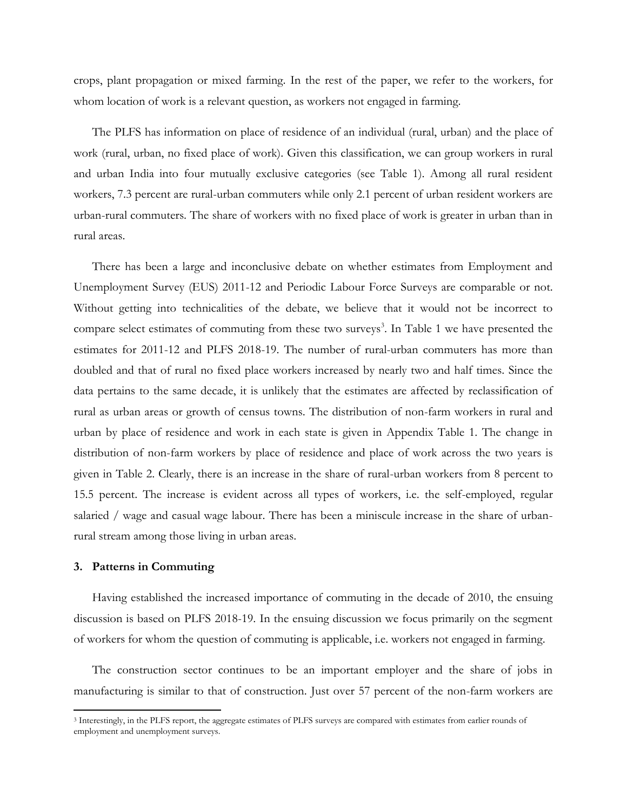crops, plant propagation or mixed farming. In the rest of the paper, we refer to the workers, for whom location of work is a relevant question, as workers not engaged in farming.

The PLFS has information on place of residence of an individual (rural, urban) and the place of work (rural, urban, no fixed place of work). Given this classification, we can group workers in rural and urban India into four mutually exclusive categories (see Table 1). Among all rural resident workers, 7.3 percent are rural-urban commuters while only 2.1 percent of urban resident workers are urban-rural commuters. The share of workers with no fixed place of work is greater in urban than in rural areas.

There has been a large and inconclusive debate on whether estimates from Employment and Unemployment Survey (EUS) 2011-12 and Periodic Labour Force Surveys are comparable or not. Without getting into technicalities of the debate, we believe that it would not be incorrect to compare select estimates of commuting from these two surveys<sup>3</sup>. In Table 1 we have presented the estimates for 2011-12 and PLFS 2018-19. The number of rural-urban commuters has more than doubled and that of rural no fixed place workers increased by nearly two and half times. Since the data pertains to the same decade, it is unlikely that the estimates are affected by reclassification of rural as urban areas or growth of census towns. The distribution of non-farm workers in rural and urban by place of residence and work in each state is given in Appendix Table 1. The change in distribution of non-farm workers by place of residence and place of work across the two years is given in Table 2. Clearly, there is an increase in the share of rural-urban workers from 8 percent to 15.5 percent. The increase is evident across all types of workers, i.e. the self-employed, regular salaried / wage and casual wage labour. There has been a miniscule increase in the share of urbanrural stream among those living in urban areas.

#### **3. Patterns in Commuting**

 $\overline{a}$ 

Having established the increased importance of commuting in the decade of 2010, the ensuing discussion is based on PLFS 2018-19. In the ensuing discussion we focus primarily on the segment of workers for whom the question of commuting is applicable, i.e. workers not engaged in farming.

The construction sector continues to be an important employer and the share of jobs in manufacturing is similar to that of construction. Just over 57 percent of the non-farm workers are

<sup>3</sup> Interestingly, in the PLFS report, the aggregate estimates of PLFS surveys are compared with estimates from earlier rounds of employment and unemployment surveys.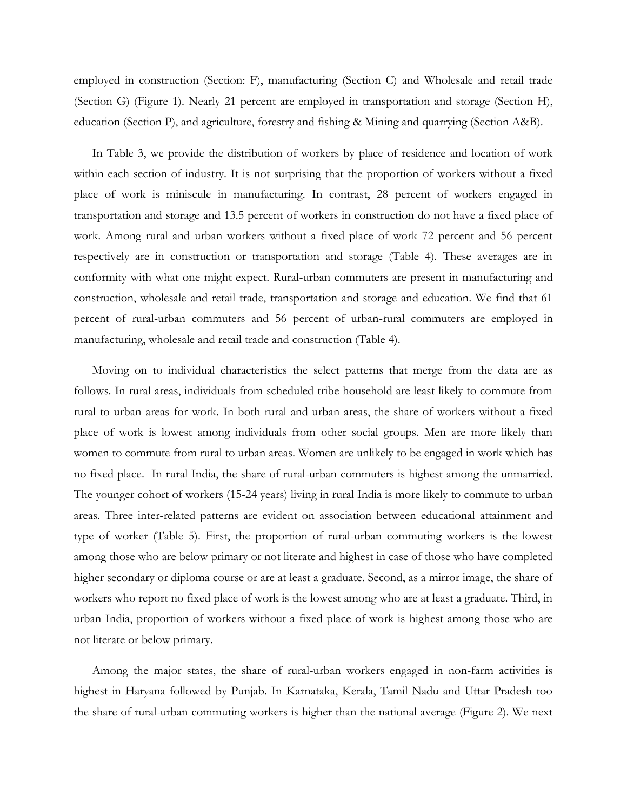employed in construction (Section: F), manufacturing (Section C) and Wholesale and retail trade (Section G) (Figure 1). Nearly 21 percent are employed in transportation and storage (Section H), education (Section P), and agriculture, forestry and fishing & Mining and quarrying (Section A&B).

In Table 3, we provide the distribution of workers by place of residence and location of work within each section of industry. It is not surprising that the proportion of workers without a fixed place of work is miniscule in manufacturing. In contrast, 28 percent of workers engaged in transportation and storage and 13.5 percent of workers in construction do not have a fixed place of work. Among rural and urban workers without a fixed place of work 72 percent and 56 percent respectively are in construction or transportation and storage (Table 4). These averages are in conformity with what one might expect. Rural-urban commuters are present in manufacturing and construction, wholesale and retail trade, transportation and storage and education. We find that 61 percent of rural-urban commuters and 56 percent of urban-rural commuters are employed in manufacturing, wholesale and retail trade and construction (Table 4).

Moving on to individual characteristics the select patterns that merge from the data are as follows. In rural areas, individuals from scheduled tribe household are least likely to commute from rural to urban areas for work. In both rural and urban areas, the share of workers without a fixed place of work is lowest among individuals from other social groups. Men are more likely than women to commute from rural to urban areas. Women are unlikely to be engaged in work which has no fixed place. In rural India, the share of rural-urban commuters is highest among the unmarried. The younger cohort of workers (15-24 years) living in rural India is more likely to commute to urban areas. Three inter-related patterns are evident on association between educational attainment and type of worker (Table 5). First, the proportion of rural-urban commuting workers is the lowest among those who are below primary or not literate and highest in case of those who have completed higher secondary or diploma course or are at least a graduate. Second, as a mirror image, the share of workers who report no fixed place of work is the lowest among who are at least a graduate. Third, in urban India, proportion of workers without a fixed place of work is highest among those who are not literate or below primary.

Among the major states, the share of rural-urban workers engaged in non-farm activities is highest in Haryana followed by Punjab. In Karnataka, Kerala, Tamil Nadu and Uttar Pradesh too the share of rural-urban commuting workers is higher than the national average (Figure 2). We next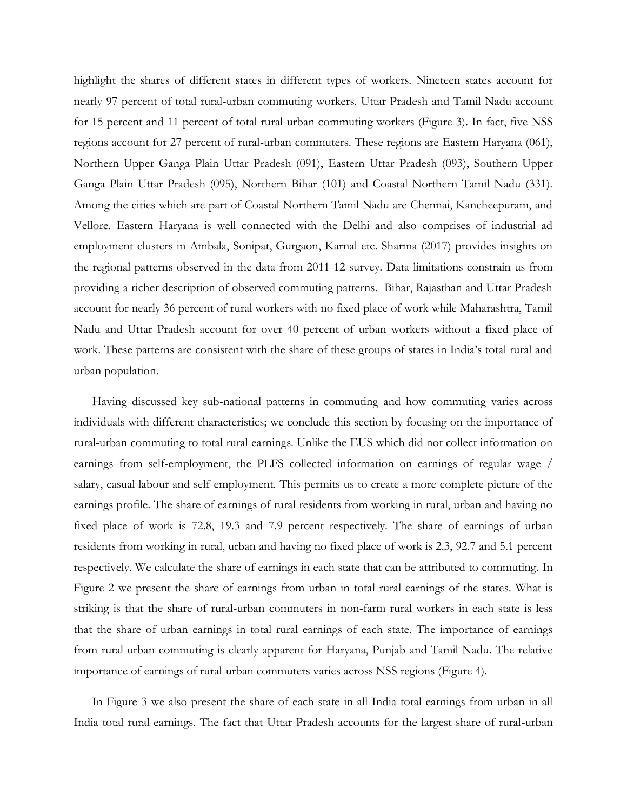highlight the shares of different states in different types of workers. Nineteen states account for nearly 97 percent of total rural-urban commuting workers. Uttar Pradesh and Tamil Nadu account for 15 percent and 11 percent of total rural-urban commuting workers (Figure 3). In fact, five NSS regions account for 27 percent of rural-urban commuters. These regions are Eastern Haryana (061), Northern Upper Ganga Plain Uttar Pradesh (091), Eastern Uttar Pradesh (093), Southern Upper Ganga Plain Uttar Pradesh (095), Northern Bihar (101) and Coastal Northern Tamil Nadu (331). Among the cities which are part of Coastal Northern Tamil Nadu are Chennai, Kancheepuram, and Vellore. Eastern Haryana is well connected with the Delhi and also comprises of industrial ad employment clusters in Ambala, Sonipat, Gurgaon, Karnal etc. Sharma (2017) provides insights on the regional patterns observed in the data from 2011-12 survey. Data limitations constrain us from providing a richer description of observed commuting patterns. Bihar, Rajasthan and Uttar Pradesh account for nearly 36 percent of rural workers with no fixed place of work while Maharashtra, Tamil Nadu and Uttar Pradesh account for over 40 percent of urban workers without a fixed place of work. These patterns are consistent with the share of these groups of states in India's total rural and urban population.

Having discussed key sub-national patterns in commuting and how commuting varies across individuals with different characteristics; we conclude this section by focusing on the importance of rural-urban commuting to total rural earnings. Unlike the EUS which did not collect information on earnings from self-employment, the PLFS collected information on earnings of regular wage / salary, casual labour and self-employment. This permits us to create a more complete picture of the earnings profile. The share of earnings of rural residents from working in rural, urban and having no fixed place of work is 72.8, 19.3 and 7.9 percent respectively. The share of earnings of urban residents from working in rural, urban and having no fixed place of work is 2.3, 92.7 and 5.1 percent respectively. We calculate the share of earnings in each state that can be attributed to commuting. In Figure 2 we present the share of earnings from urban in total rural earnings of the states. What is striking is that the share of rural-urban commuters in non-farm rural workers in each state is less that the share of urban earnings in total rural earnings of each state. The importance of earnings from rural-urban commuting is clearly apparent for Haryana, Punjab and Tamil Nadu. The relative importance of earnings of rural-urban commuters varies across NSS regions (Figure 4).

In Figure 3 we also present the share of each state in all India total earnings from urban in all India total rural earnings. The fact that Uttar Pradesh accounts for the largest share of rural-urban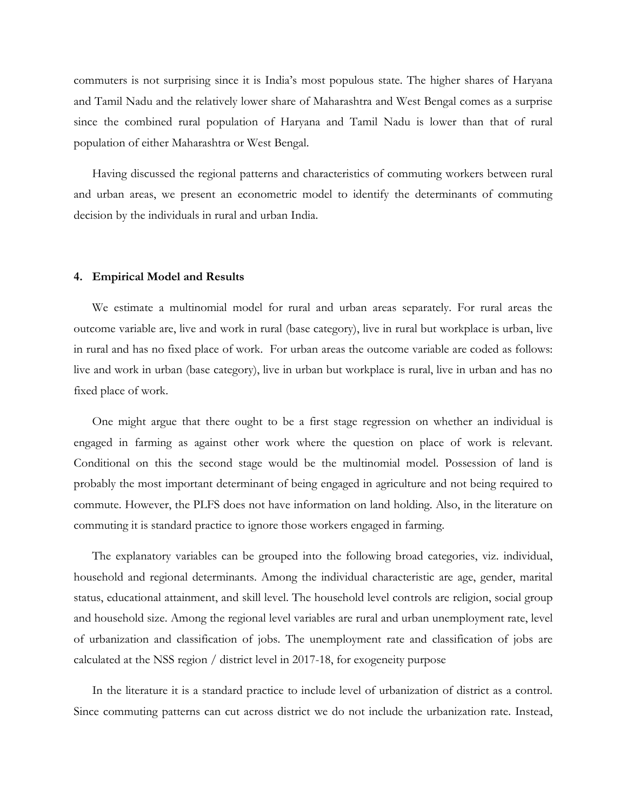commuters is not surprising since it is India's most populous state. The higher shares of Haryana and Tamil Nadu and the relatively lower share of Maharashtra and West Bengal comes as a surprise since the combined rural population of Haryana and Tamil Nadu is lower than that of rural population of either Maharashtra or West Bengal.

Having discussed the regional patterns and characteristics of commuting workers between rural and urban areas, we present an econometric model to identify the determinants of commuting decision by the individuals in rural and urban India.

#### **4. Empirical Model and Results**

We estimate a multinomial model for rural and urban areas separately. For rural areas the outcome variable are, live and work in rural (base category), live in rural but workplace is urban, live in rural and has no fixed place of work. For urban areas the outcome variable are coded as follows: live and work in urban (base category), live in urban but workplace is rural, live in urban and has no fixed place of work.

One might argue that there ought to be a first stage regression on whether an individual is engaged in farming as against other work where the question on place of work is relevant. Conditional on this the second stage would be the multinomial model. Possession of land is probably the most important determinant of being engaged in agriculture and not being required to commute. However, the PLFS does not have information on land holding. Also, in the literature on commuting it is standard practice to ignore those workers engaged in farming.

The explanatory variables can be grouped into the following broad categories, viz. individual, household and regional determinants. Among the individual characteristic are age, gender, marital status, educational attainment, and skill level. The household level controls are religion, social group and household size. Among the regional level variables are rural and urban unemployment rate, level of urbanization and classification of jobs. The unemployment rate and classification of jobs are calculated at the NSS region / district level in 2017-18, for exogeneity purpose

In the literature it is a standard practice to include level of urbanization of district as a control. Since commuting patterns can cut across district we do not include the urbanization rate. Instead,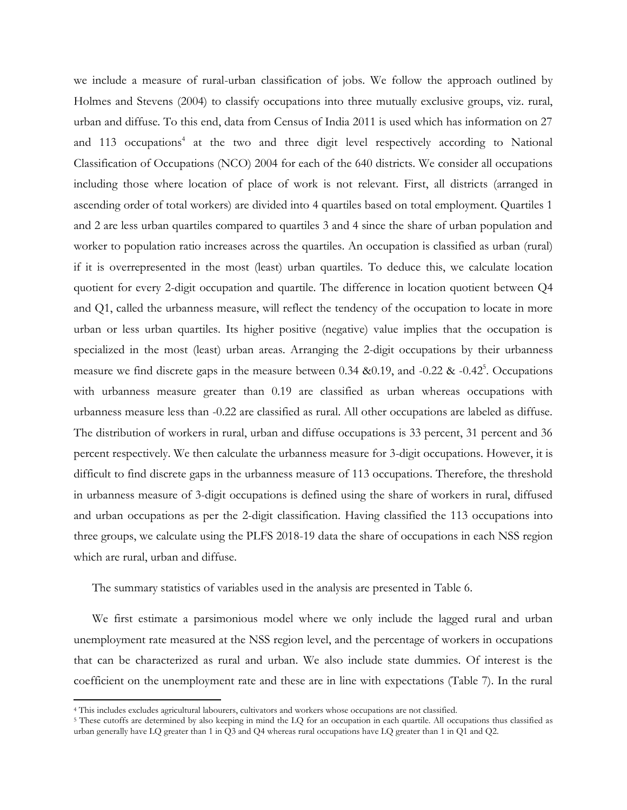we include a measure of rural-urban classification of jobs. We follow the approach outlined by Holmes and Stevens (2004) to classify occupations into three mutually exclusive groups, viz. rural, urban and diffuse. To this end, data from Census of India 2011 is used which has information on 27 and 113 occupations<sup>4</sup> at the two and three digit level respectively according to National Classification of Occupations (NCO) 2004 for each of the 640 districts. We consider all occupations including those where location of place of work is not relevant. First, all districts (arranged in ascending order of total workers) are divided into 4 quartiles based on total employment. Quartiles 1 and 2 are less urban quartiles compared to quartiles 3 and 4 since the share of urban population and worker to population ratio increases across the quartiles. An occupation is classified as urban (rural) if it is overrepresented in the most (least) urban quartiles. To deduce this, we calculate location quotient for every 2-digit occupation and quartile. The difference in location quotient between Q4 and Q1, called the urbanness measure, will reflect the tendency of the occupation to locate in more urban or less urban quartiles. Its higher positive (negative) value implies that the occupation is specialized in the most (least) urban areas. Arranging the 2-digit occupations by their urbanness measure we find discrete gaps in the measure between 0.34 & 0.19, and  $-0.22$  &  $-0.42^5$ . Occupations with urbanness measure greater than 0.19 are classified as urban whereas occupations with urbanness measure less than -0.22 are classified as rural. All other occupations are labeled as diffuse. The distribution of workers in rural, urban and diffuse occupations is 33 percent, 31 percent and 36 percent respectively. We then calculate the urbanness measure for 3-digit occupations. However, it is difficult to find discrete gaps in the urbanness measure of 113 occupations. Therefore, the threshold in urbanness measure of 3-digit occupations is defined using the share of workers in rural, diffused and urban occupations as per the 2-digit classification. Having classified the 113 occupations into three groups, we calculate using the PLFS 2018-19 data the share of occupations in each NSS region which are rural, urban and diffuse.

The summary statistics of variables used in the analysis are presented in Table 6.

We first estimate a parsimonious model where we only include the lagged rural and urban unemployment rate measured at the NSS region level, and the percentage of workers in occupations that can be characterized as rural and urban. We also include state dummies. Of interest is the coefficient on the unemployment rate and these are in line with expectations (Table 7). In the rural

l

<sup>4</sup> This includes excludes agricultural labourers, cultivators and workers whose occupations are not classified.

<sup>&</sup>lt;sup>5</sup> These cutoffs are determined by also keeping in mind the LQ for an occupation in each quartile. All occupations thus classified as urban generally have LQ greater than 1 in Q3 and Q4 whereas rural occupations have LQ greater than 1 in Q1 and Q2.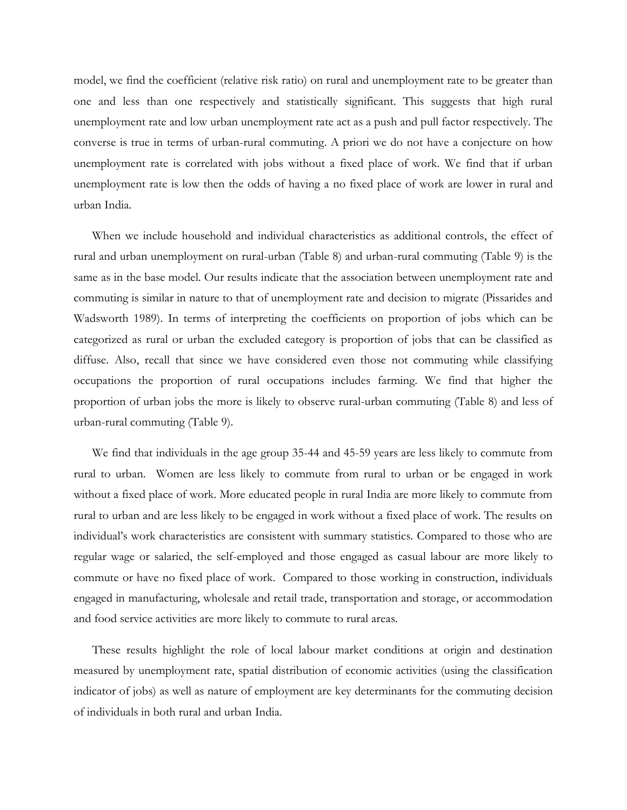model, we find the coefficient (relative risk ratio) on rural and unemployment rate to be greater than one and less than one respectively and statistically significant. This suggests that high rural unemployment rate and low urban unemployment rate act as a push and pull factor respectively. The converse is true in terms of urban-rural commuting. A priori we do not have a conjecture on how unemployment rate is correlated with jobs without a fixed place of work. We find that if urban unemployment rate is low then the odds of having a no fixed place of work are lower in rural and urban India.

When we include household and individual characteristics as additional controls, the effect of rural and urban unemployment on rural-urban (Table 8) and urban-rural commuting (Table 9) is the same as in the base model. Our results indicate that the association between unemployment rate and commuting is similar in nature to that of unemployment rate and decision to migrate (Pissarides and Wadsworth 1989). In terms of interpreting the coefficients on proportion of jobs which can be categorized as rural or urban the excluded category is proportion of jobs that can be classified as diffuse. Also, recall that since we have considered even those not commuting while classifying occupations the proportion of rural occupations includes farming. We find that higher the proportion of urban jobs the more is likely to observe rural-urban commuting (Table 8) and less of urban-rural commuting (Table 9).

We find that individuals in the age group 35-44 and 45-59 years are less likely to commute from rural to urban. Women are less likely to commute from rural to urban or be engaged in work without a fixed place of work. More educated people in rural India are more likely to commute from rural to urban and are less likely to be engaged in work without a fixed place of work. The results on individual's work characteristics are consistent with summary statistics. Compared to those who are regular wage or salaried, the self-employed and those engaged as casual labour are more likely to commute or have no fixed place of work. Compared to those working in construction, individuals engaged in manufacturing, wholesale and retail trade, transportation and storage, or accommodation and food service activities are more likely to commute to rural areas.

These results highlight the role of local labour market conditions at origin and destination measured by unemployment rate, spatial distribution of economic activities (using the classification indicator of jobs) as well as nature of employment are key determinants for the commuting decision of individuals in both rural and urban India.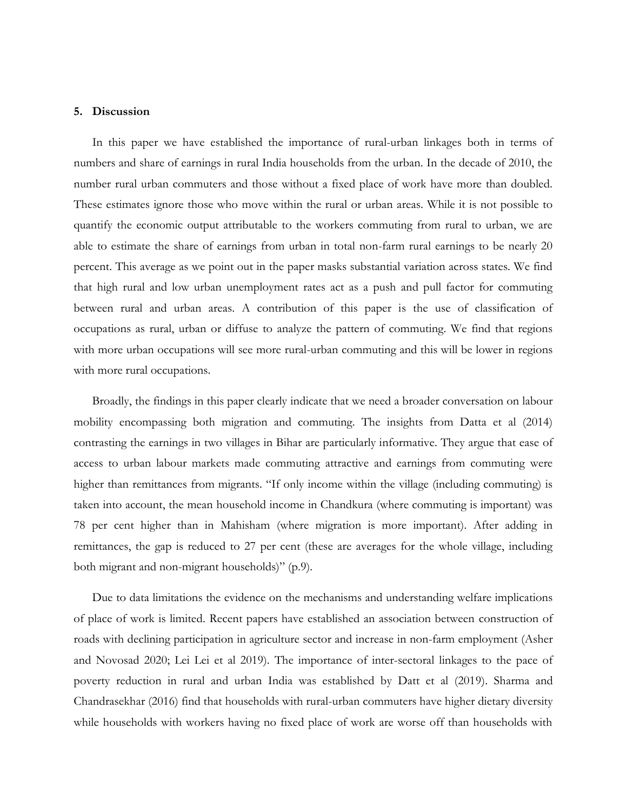#### **5. Discussion**

In this paper we have established the importance of rural-urban linkages both in terms of numbers and share of earnings in rural India households from the urban. In the decade of 2010, the number rural urban commuters and those without a fixed place of work have more than doubled. These estimates ignore those who move within the rural or urban areas. While it is not possible to quantify the economic output attributable to the workers commuting from rural to urban, we are able to estimate the share of earnings from urban in total non-farm rural earnings to be nearly 20 percent. This average as we point out in the paper masks substantial variation across states. We find that high rural and low urban unemployment rates act as a push and pull factor for commuting between rural and urban areas. A contribution of this paper is the use of classification of occupations as rural, urban or diffuse to analyze the pattern of commuting. We find that regions with more urban occupations will see more rural-urban commuting and this will be lower in regions with more rural occupations.

Broadly, the findings in this paper clearly indicate that we need a broader conversation on labour mobility encompassing both migration and commuting. The insights from Datta et al (2014) contrasting the earnings in two villages in Bihar are particularly informative. They argue that ease of access to urban labour markets made commuting attractive and earnings from commuting were higher than remittances from migrants. "If only income within the village (including commuting) is taken into account, the mean household income in Chandkura (where commuting is important) was 78 per cent higher than in Mahisham (where migration is more important). After adding in remittances, the gap is reduced to 27 per cent (these are averages for the whole village, including both migrant and non-migrant households)" (p.9).

Due to data limitations the evidence on the mechanisms and understanding welfare implications of place of work is limited. Recent papers have established an association between construction of roads with declining participation in agriculture sector and increase in non-farm employment (Asher and Novosad 2020; Lei Lei et al 2019). The importance of inter-sectoral linkages to the pace of poverty reduction in rural and urban India was established by Datt et al (2019). Sharma and Chandrasekhar (2016) find that households with rural-urban commuters have higher dietary diversity while households with workers having no fixed place of work are worse off than households with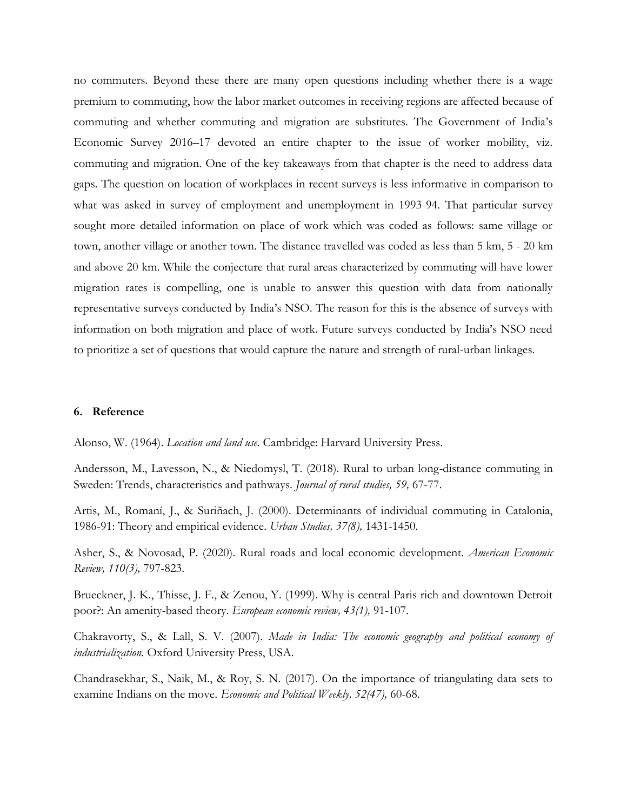no commuters. Beyond these there are many open questions including whether there is a wage premium to commuting, how the labor market outcomes in receiving regions are affected because of commuting and whether commuting and migration are substitutes. The Government of India's Economic Survey 2016–17 devoted an entire chapter to the issue of worker mobility, viz. commuting and migration. One of the key takeaways from that chapter is the need to address data gaps. The question on location of workplaces in recent surveys is less informative in comparison to what was asked in survey of employment and unemployment in 1993-94. That particular survey sought more detailed information on place of work which was coded as follows: same village or town, another village or another town. The distance travelled was coded as less than 5 km, 5 - 20 km and above 20 km. While the conjecture that rural areas characterized by commuting will have lower migration rates is compelling, one is unable to answer this question with data from nationally representative surveys conducted by India's NSO. The reason for this is the absence of surveys with information on both migration and place of work. Future surveys conducted by India's NSO need to prioritize a set of questions that would capture the nature and strength of rural-urban linkages.

#### **6. Reference**

Alonso, W. (1964). *Location and land use.* Cambridge: Harvard University Press.

Andersson, M., Lavesson, N., & Niedomysl, T. (2018). Rural to urban long-distance commuting in Sweden: Trends, characteristics and pathways. *Journal of rural studies, 59,* 67-77.

Artis, M., Romaní, J., & Suriñach, J. (2000). Determinants of individual commuting in Catalonia, 1986-91: Theory and empirical evidence*. Urban Studies, 37(8),* 1431-1450.

Asher, S., & Novosad, P. (2020). Rural roads and local economic development. *American Economic Review, 110(3),* 797-823.

Brueckner, J. K., Thisse, J. F., & Zenou, Y. (1999). Why is central Paris rich and downtown Detroit poor?: An amenity-based theory. *European economic review, 43(1),* 91-107.

Chakravorty, S., & Lall, S. V. (2007). *Made in India: The economic geography and political economy of industrialization.* Oxford University Press, USA.

Chandrasekhar, S., Naik, M., & Roy, S. N. (2017). On the importance of triangulating data sets to examine Indians on the move. *Economic and Political Weekly, 52(47),* 60-68.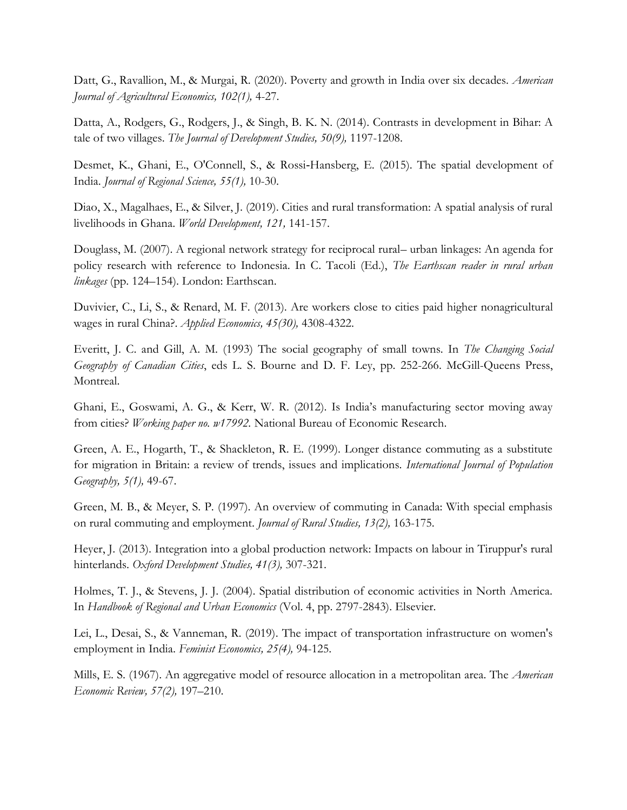Datt, G., Ravallion, M., & Murgai, R. (2020). Poverty and growth in India over six decades. *American Journal of Agricultural Economics, 102(1),* 4-27.

Datta, A., Rodgers, G., Rodgers, J., & Singh, B. K. N. (2014). Contrasts in development in Bihar: A tale of two villages. *The Journal of Development Studies, 50(9),* 1197-1208.

Desmet, K., Ghani, E., O'Connell, S., & Rossi-Hansberg, E. (2015). The spatial development of India. *Journal of Regional Science, 55(1),* 10-30.

Diao, X., Magalhaes, E., & Silver, J. (2019). Cities and rural transformation: A spatial analysis of rural livelihoods in Ghana. *World Development, 121,* 141-157.

Douglass, M. (2007). A regional network strategy for reciprocal rural– urban linkages: An agenda for policy research with reference to Indonesia. In C. Tacoli (Ed.), *The Earthscan reader in rural urban linkages* (pp. 124–154). London: Earthscan.

Duvivier, C., Li, S., & Renard, M. F. (2013). Are workers close to cities paid higher nonagricultural wages in rural China?. *Applied Economics, 45(30),* 4308-4322.

Everitt, J. C. and Gill, A. M. (1993) The social geography of small towns. In *The Changing Social Geography of Canadian Cities*, eds L. S. Bourne and D. F. Ley, pp. 252-266. McGill-Queens Press, Montreal.

Ghani, E., Goswami, A. G., & Kerr, W. R. (2012). Is India's manufacturing sector moving away from cities? *Working paper no. w17992.* National Bureau of Economic Research.

Green, A. E., Hogarth, T., & Shackleton, R. E. (1999). Longer distance commuting as a substitute for migration in Britain: a review of trends, issues and implications. *International Journal of Population Geography, 5(1),* 49-67.

Green, M. B., & Meyer, S. P. (1997). An overview of commuting in Canada: With special emphasis on rural commuting and employment. *Journal of Rural Studies, 13(2),* 163-175.

Heyer, J. (2013). Integration into a global production network: Impacts on labour in Tiruppur's rural hinterlands. *Oxford Development Studies, 41(3),* 307-321.

Holmes, T. J., & Stevens, J. J. (2004). Spatial distribution of economic activities in North America. In *Handbook of Regional and Urban Economics* (Vol. 4, pp. 2797-2843). Elsevier.

Lei, L., Desai, S., & Vanneman, R. (2019). The impact of transportation infrastructure on women's employment in India. *Feminist Economics, 25(4),* 94-125.

Mills, E. S. (1967). An aggregative model of resource allocation in a metropolitan area. The *American Economic Review, 57(2),* 197–210.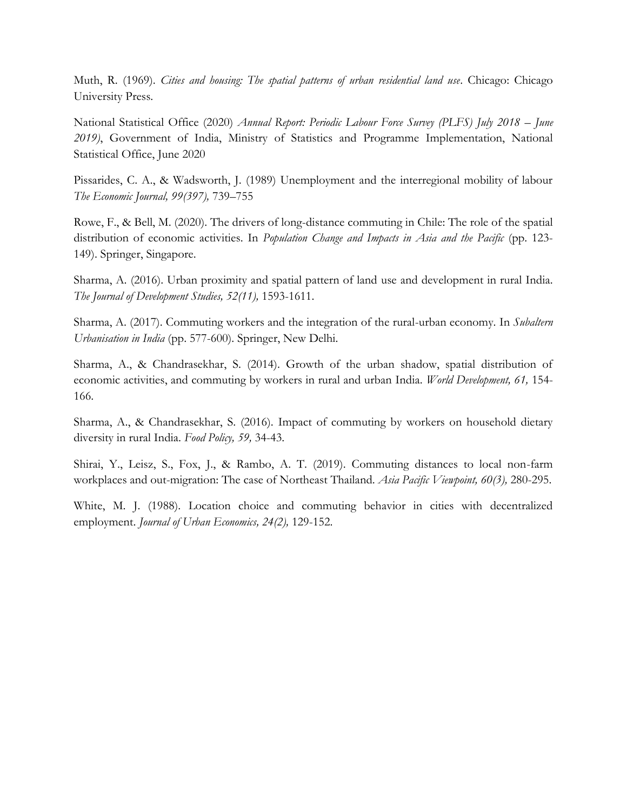Muth, R. (1969). *Cities and housing: The spatial patterns of urban residential land use*. Chicago: Chicago University Press.

National Statistical Office (2020) *Annual Report: Periodic Labour Force Survey (PLFS) July 2018 – June 2019)*, Government of India, Ministry of Statistics and Programme Implementation, National Statistical Office, June 2020

Pissarides, C. A., & Wadsworth, J. (1989) Unemployment and the interregional mobility of labour *The Economic Journal, 99(397),* 739–755

Rowe, F., & Bell, M. (2020). The drivers of long-distance commuting in Chile: The role of the spatial distribution of economic activities. In *Population Change and Impacts in Asia and the Pacific* (pp. 123-149). Springer, Singapore.

Sharma, A. (2016). Urban proximity and spatial pattern of land use and development in rural India. *The Journal of Development Studies, 52(11),* 1593-1611.

Sharma, A. (2017). Commuting workers and the integration of the rural-urban economy. In *Subaltern Urbanisation in India* (pp. 577-600). Springer, New Delhi.

Sharma, A., & Chandrasekhar, S. (2014). Growth of the urban shadow, spatial distribution of economic activities, and commuting by workers in rural and urban India. *World Development, 61,* 154- 166.

Sharma, A., & Chandrasekhar, S. (2016). Impact of commuting by workers on household dietary diversity in rural India. *Food Policy, 59,* 34-43.

Shirai, Y., Leisz, S., Fox, J., & Rambo, A. T. (2019). Commuting distances to local non-farm workplaces and out-migration: The case of Northeast Thailand. *Asia Pacific Viewpoint, 60(3),* 280-295.

White, M. J. (1988). Location choice and commuting behavior in cities with decentralized employment. *Journal of Urban Economics, 24(2),* 129-152.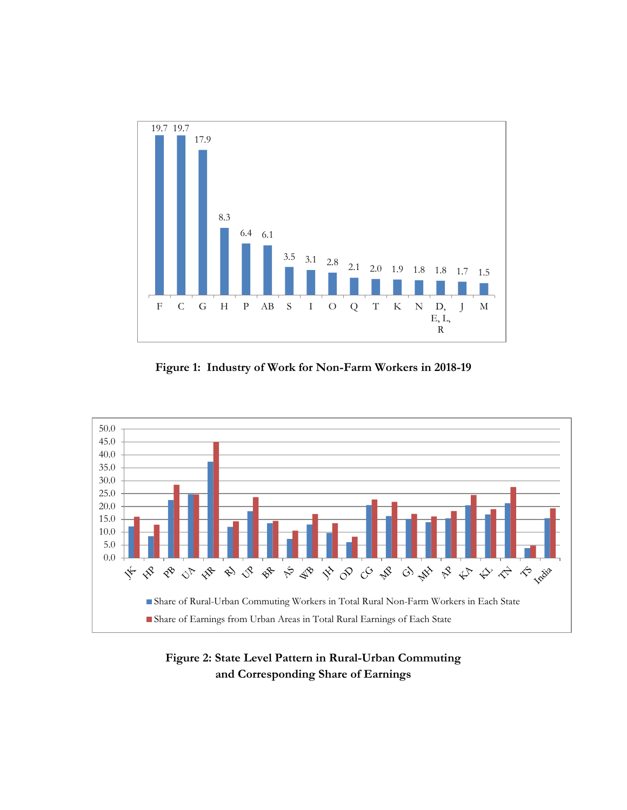

**Figure 1: Industry of Work for Non-Farm Workers in 2018-19**



**Figure 2: State Level Pattern in Rural-Urban Commuting and Corresponding Share of Earnings**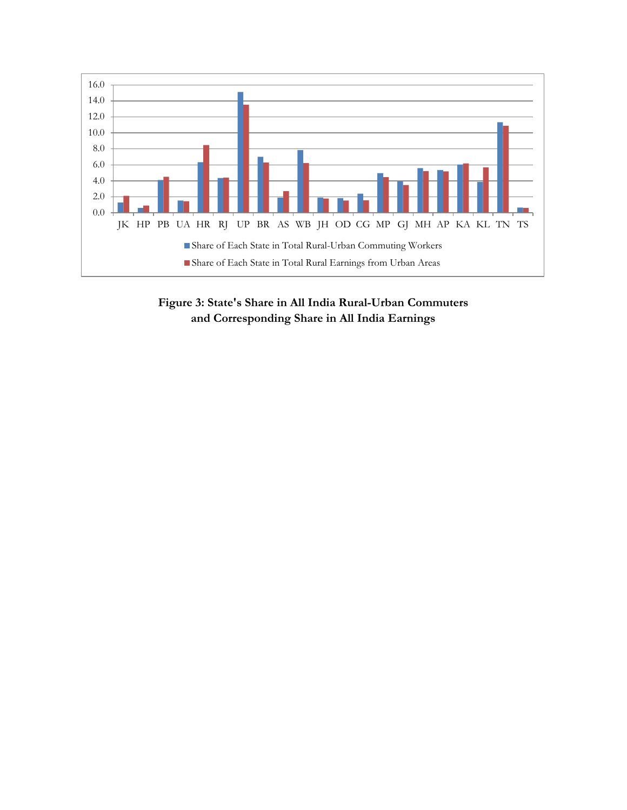

**Figure 3: State's Share in All India Rural-Urban Commuters and Corresponding Share in All India Earnings**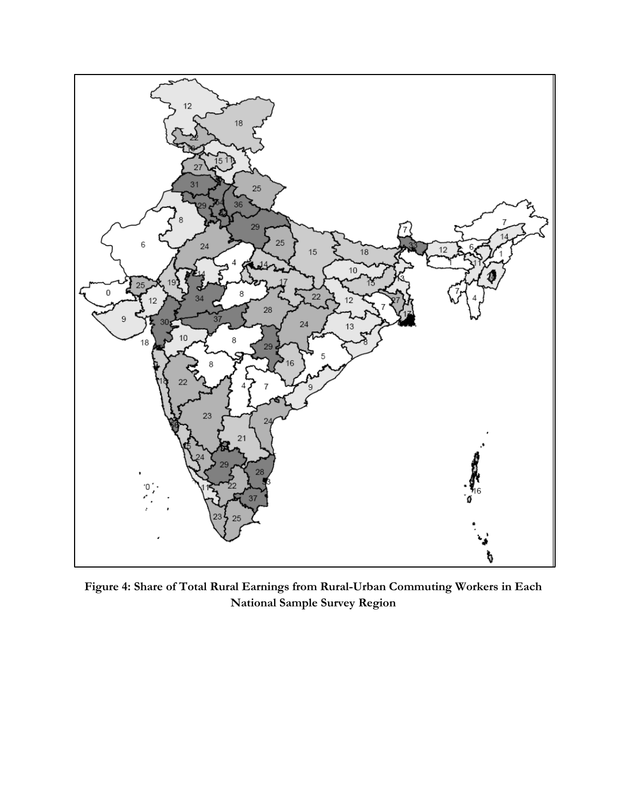

**Figure 4: Share of Total Rural Earnings from Rural-Urban Commuting Workers in Each National Sample Survey Region**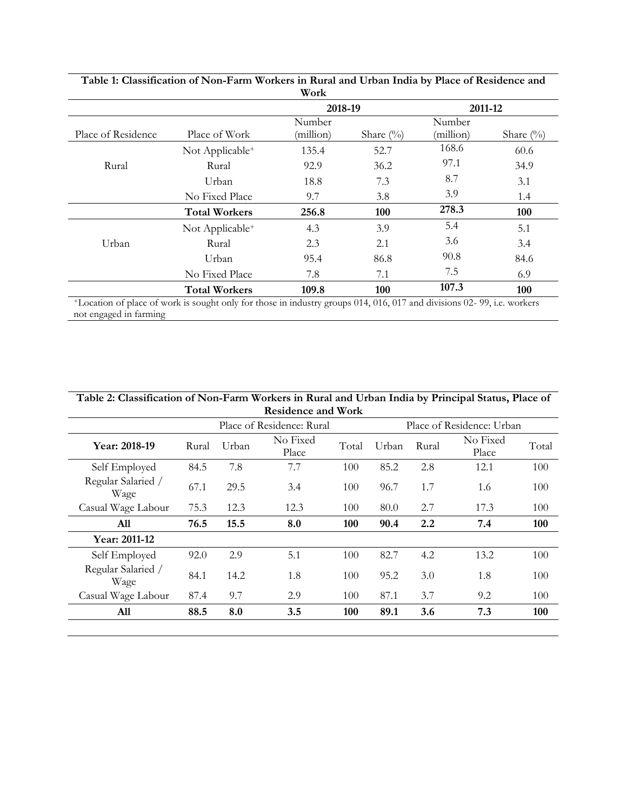|                    |                             | 2018-19             |               | 2011-12             |              |  |
|--------------------|-----------------------------|---------------------|---------------|---------------------|--------------|--|
| Place of Residence | Place of Work               | Number<br>(million) | Share $(\% )$ | Number<br>(million) | Share $(\%)$ |  |
|                    | Not Applicable <sup>+</sup> | 135.4               | 52.7          | 168.6               | 60.6         |  |
| Rural              | Rural                       | 92.9                | 36.2          | 97.1                | 34.9         |  |
|                    | Urban                       | 18.8                | 7.3           | 8.7                 | 3.1          |  |
|                    | No Fixed Place              | 9.7                 | 3.8           | 3.9                 | 1.4          |  |
|                    | <b>Total Workers</b>        | 256.8               | 100           | 278.3               | 100          |  |
|                    | Not Applicable <sup>+</sup> | 4.3                 | 3.9           | 5.4                 | 5.1          |  |
| Urban              | Rural                       | 2.3                 | 2.1           | 3.6                 | 3.4          |  |
|                    | Urban                       | 95.4                | 86.8          | 90.8                | 84.6         |  |
|                    | No Fixed Place              | 7.8                 | 7.1           | 7.5                 | 6.9          |  |
|                    | <b>Total Workers</b>        | 109.8               | 100           | 107.3               | 100          |  |

**Table 1: Classification of Non-Farm Workers in Rural and Urban India by Place of Residence and** 

<sup>+</sup>Location of place of work is sought only for those in industry groups 014, 016, 017 and divisions 02- 99, i.e. workers not engaged in farming

| Table 2: Classification of Non-Farm Workers in Rural and Urban India by Principal Status, Place of<br><b>Residence and Work</b> |       |       |                           |       |       |       |                           |       |  |  |  |
|---------------------------------------------------------------------------------------------------------------------------------|-------|-------|---------------------------|-------|-------|-------|---------------------------|-------|--|--|--|
|                                                                                                                                 |       |       | Place of Residence: Rural |       |       |       | Place of Residence: Urban |       |  |  |  |
| Year: 2018-19                                                                                                                   | Rural | Urban | No Fixed<br>Place         | Total | Urban | Rural | No Fixed<br>Place         | Total |  |  |  |
| Self Employed                                                                                                                   | 84.5  | 7.8   | 7.7                       | 100   | 85.2  | 2.8   | 12.1                      | 100   |  |  |  |
| Regular Salaried /<br>Wage                                                                                                      | 67.1  | 29.5  | 3.4                       | 100   | 96.7  | 1.7   | 1.6                       | 100   |  |  |  |
| Casual Wage Labour                                                                                                              | 75.3  | 12.3  | 12.3                      | 100   | 80.0  | 2.7   | 17.3                      | 100   |  |  |  |
| All                                                                                                                             | 76.5  | 15.5  | 8.0                       | 100   | 90.4  | 2.2   | 7.4                       | 100   |  |  |  |
| Year: 2011-12                                                                                                                   |       |       |                           |       |       |       |                           |       |  |  |  |
| Self Employed                                                                                                                   | 92.0  | 2.9   | 5.1                       | 100   | 82.7  | 4.2   | 13.2                      | 100   |  |  |  |
| Regular Salaried /<br>Wage                                                                                                      | 84.1  | 14.2  | 1.8                       | 100   | 95.2  | 3.0   | 1.8                       | 100   |  |  |  |
| Casual Wage Labour                                                                                                              | 87.4  | 9.7   | 2.9                       | 100   | 87.1  | 3.7   | 9.2                       | 100   |  |  |  |
| All                                                                                                                             | 88.5  | 8.0   | 3.5                       | 100   | 89.1  | 3.6   | 7.3                       | 100   |  |  |  |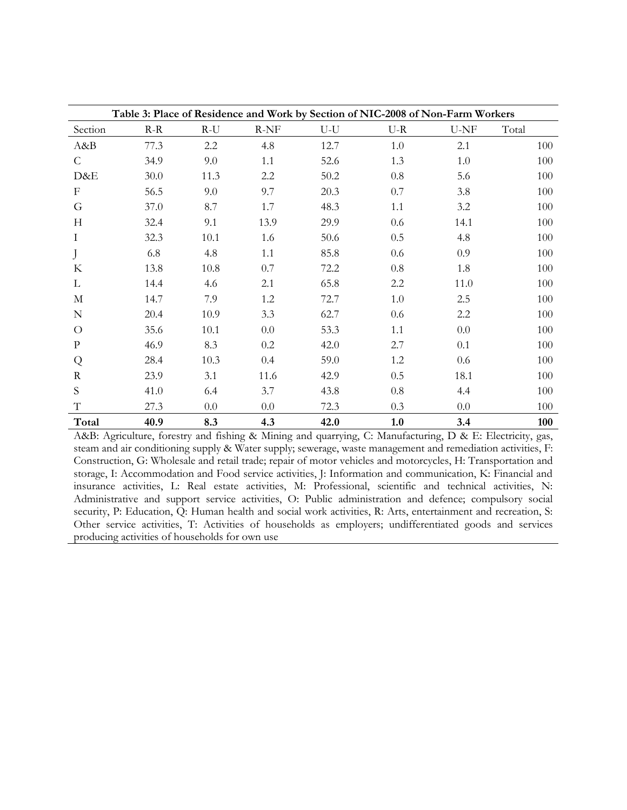|                           |       |       |        |       | Table 3: Place of Residence and Work by Section of NIC-2008 of Non-Farm Workers |      |       |
|---------------------------|-------|-------|--------|-------|---------------------------------------------------------------------------------|------|-------|
| Section                   | $R-R$ | $R-U$ | $R-NF$ | $U-U$ | $U-R$                                                                           | U-NF | Total |
| A&B                       | 77.3  | 2.2   | 4.8    | 12.7  | 1.0                                                                             | 2.1  | 100   |
| C                         | 34.9  | 9.0   | 1.1    | 52.6  | 1.3                                                                             | 1.0  | 100   |
| D&E                       | 30.0  | 11.3  | 2.2    | 50.2  | 0.8                                                                             | 5.6  | 100   |
| $\boldsymbol{\mathrm{F}}$ | 56.5  | 9.0   | 9.7    | 20.3  | 0.7                                                                             | 3.8  | 100   |
| G                         | 37.0  | 8.7   | 1.7    | 48.3  | 1.1                                                                             | 3.2  | 100   |
| H                         | 32.4  | 9.1   | 13.9   | 29.9  | 0.6                                                                             | 14.1 | 100   |
| I                         | 32.3  | 10.1  | 1.6    | 50.6  | 0.5                                                                             | 4.8  | 100   |
| J                         | 6.8   | 4.8   | 1.1    | 85.8  | 0.6                                                                             | 0.9  | 100   |
| $\rm K$                   | 13.8  | 10.8  | 0.7    | 72.2  | 0.8                                                                             | 1.8  | 100   |
| L                         | 14.4  | 4.6   | 2.1    | 65.8  | 2.2                                                                             | 11.0 | 100   |
| $\mathbf{M}$              | 14.7  | 7.9   | 1.2    | 72.7  | 1.0                                                                             | 2.5  | 100   |
| ${\bf N}$                 | 20.4  | 10.9  | 3.3    | 62.7  | 0.6                                                                             | 2.2  | 100   |
| $\Omega$                  | 35.6  | 10.1  | 0.0    | 53.3  | 1.1                                                                             | 0.0  | 100   |
| $\mathbf{P}$              | 46.9  | 8.3   | 0.2    | 42.0  | 2.7                                                                             | 0.1  | 100   |
| Q                         | 28.4  | 10.3  | 0.4    | 59.0  | 1.2                                                                             | 0.6  | 100   |
| R                         | 23.9  | 3.1   | 11.6   | 42.9  | 0.5                                                                             | 18.1 | 100   |
| S                         | 41.0  | 6.4   | 3.7    | 43.8  | 0.8                                                                             | 4.4  | 100   |
| T                         | 27.3  | 0.0   | 0.0    | 72.3  | 0.3                                                                             | 0.0  | 100   |
| Total                     | 40.9  | 8.3   | 4.3    | 42.0  | 1.0                                                                             | 3.4  | 100   |

A&B: Agriculture, forestry and fishing & Mining and quarrying, C: Manufacturing, D & E: Electricity, gas, steam and air conditioning supply & Water supply; sewerage, waste management and remediation activities, F: Construction, G: Wholesale and retail trade; repair of motor vehicles and motorcycles, H: Transportation and storage, I: Accommodation and Food service activities, J: Information and communication, K: Financial and insurance activities, L: Real estate activities, M: Professional, scientific and technical activities, N: Administrative and support service activities, O: Public administration and defence; compulsory social security, P: Education, Q: Human health and social work activities, R: Arts, entertainment and recreation, S: Other service activities, T: Activities of households as employers; undifferentiated goods and services producing activities of households for own use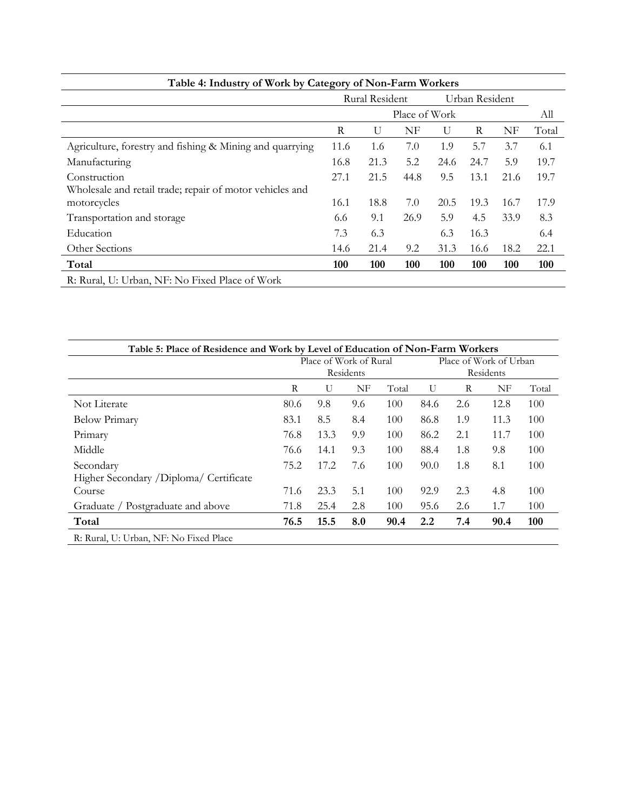| Table 4: Industry of Work by Category of Non-Farm Workers |               |                |      |      |                |      |       |
|-----------------------------------------------------------|---------------|----------------|------|------|----------------|------|-------|
|                                                           |               | Rural Resident |      |      | Urban Resident |      |       |
|                                                           | Place of Work |                |      |      |                |      | All   |
|                                                           | R             | U              | NF   | U    | R              | NF   | Total |
| Agriculture, forestry and fishing & Mining and quarrying  | 11.6          | 1.6            | 7.0  | 1.9  | 5.7            | 3.7  | 6.1   |
| Manufacturing                                             | 16.8          | 21.3           | 5.2  | 24.6 | 24.7           | 5.9  | 19.7  |
| Construction                                              | 27.1          | 21.5           | 44.8 | 9.5  | 13.1           | 21.6 | 19.7  |
| Wholesale and retail trade; repair of motor vehicles and  |               |                |      |      |                |      |       |
| motorcycles                                               | 16.1          | 18.8           | 7.0  | 20.5 | 19.3           | 16.7 | 17.9  |
| Transportation and storage                                | 6.6           | 9.1            | 26.9 | 5.9  | 4.5            | 33.9 | 8.3   |
| Education                                                 | 7.3           | 6.3            |      | 6.3  | 16.3           |      | 6.4   |
| Other Sections                                            | 14.6          | 21.4           | 9.2  | 31.3 | 16.6           | 18.2 | 22.1  |
| Total                                                     | 100           | 100            | 100  | 100  | 100            | 100  | 100   |
| R: Rural, U: Urban, NF: No Fixed Place of Work            |               |                |      |      |                |      |       |

| Table 5: Place of Residence and Work by Level of Education of Non-Farm Workers |      |      |                        |       |              |     |                        |       |
|--------------------------------------------------------------------------------|------|------|------------------------|-------|--------------|-----|------------------------|-------|
|                                                                                |      |      | Place of Work of Rural |       |              |     | Place of Work of Urban |       |
|                                                                                |      |      | Residents              |       |              |     | Residents              |       |
|                                                                                | R    | U    | NF                     | Total | $\mathbf{U}$ | R   | NF                     | Total |
| Not Literate                                                                   | 80.6 | 9.8  | 9.6                    | 100   | 84.6         | 2.6 | 12.8                   | 100   |
| <b>Below Primary</b>                                                           | 83.1 | 8.5  | 8.4                    | 100   | 86.8         | 1.9 | 11.3                   | 100   |
| Primary                                                                        | 76.8 | 13.3 | 9.9                    | 100   | 86.2         | 2.1 | 11.7                   | 100   |
| Middle                                                                         | 76.6 | 14.1 | 9.3                    | 100   | 88.4         | 1.8 | 9.8                    | 100   |
| Secondary                                                                      | 75.2 | 17.2 | 7.6                    | 100   | 90.0         | 1.8 | 8.1                    | 100   |
| Higher Secondary /Diploma/ Certificate                                         |      |      |                        |       |              |     |                        |       |
| Course                                                                         | 71.6 | 23.3 | 5.1                    | 100   | 92.9         | 2.3 | 4.8                    | 100   |
| Graduate / Postgraduate and above                                              | 71.8 | 25.4 | 2.8                    | 100   | 95.6         | 2.6 | 1.7                    | 100   |
| Total                                                                          | 76.5 | 15.5 | 8.0                    | 90.4  | 2.2          | 7.4 | 90.4                   | 100   |
| R: Rural, U: Urban, NF: No Fixed Place                                         |      |      |                        |       |              |     |                        |       |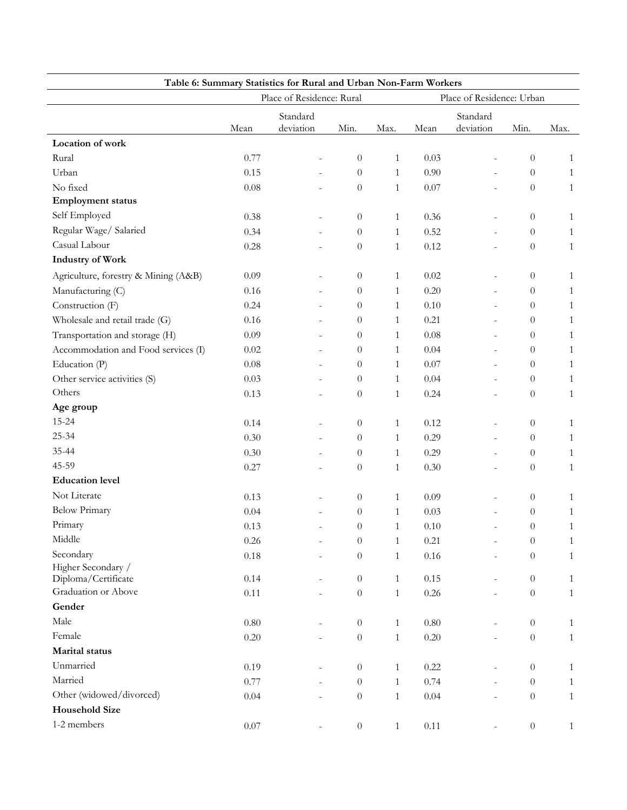| Table 6: Summary Statistics for Rural and Urban Non-Farm Workers<br>Place of Residence: Rural<br>Place of Residence: Urban |                      |                |                  |              |          |                              |                  |              |
|----------------------------------------------------------------------------------------------------------------------------|----------------------|----------------|------------------|--------------|----------|------------------------------|------------------|--------------|
|                                                                                                                            | Standard<br>Standard |                |                  |              |          |                              |                  |              |
|                                                                                                                            | Mean                 | deviation      | Min.             | Max.         | Mean     | deviation                    | Min.             | Max.         |
| Location of work                                                                                                           |                      |                |                  |              |          |                              |                  |              |
| Rural                                                                                                                      | 0.77                 |                | $\theta$         | $\mathbf{1}$ | 0.03     |                              | $\boldsymbol{0}$ | $\mathbf{1}$ |
| Urban                                                                                                                      | 0.15                 |                | $\overline{0}$   | $\mathbf{1}$ | 0.90     | $\bar{ }$                    | $\theta$         | 1            |
| No fixed                                                                                                                   | 0.08                 |                | $\theta$         | $\mathbf{1}$ | 0.07     | $\overline{a}$               | $\boldsymbol{0}$ | $\mathbf{1}$ |
| <b>Employment status</b>                                                                                                   |                      |                |                  |              |          |                              |                  |              |
| Self Employed                                                                                                              | 0.38                 |                | $\theta$         | $\mathbf{1}$ | 0.36     | $\overline{\phantom{a}}$     | $\theta$         | 1            |
| Regular Wage/ Salaried                                                                                                     | 0.34                 |                | $\theta$         | $\mathbf{1}$ | 0.52     | $\overline{\phantom{a}}$     | $\theta$         | 1            |
| Casual Labour                                                                                                              | 0.28                 |                | $\theta$         | $\mathbf{1}$ | 0.12     | $\bar{ }$                    | $\theta$         | $\mathbf{1}$ |
| <b>Industry of Work</b>                                                                                                    |                      |                |                  |              |          |                              |                  |              |
| Agriculture, forestry & Mining (A&B)                                                                                       | 0.09                 |                | $\theta$         | $\mathbf{1}$ | 0.02     |                              | $\theta$         | $\mathbf{1}$ |
| Manufacturing (C)                                                                                                          | 0.16                 |                | $\theta$         | $\mathbf{1}$ | 0.20     | $\overline{\phantom{a}}$     | $\theta$         | $\mathbf{1}$ |
| Construction (F)                                                                                                           | 0.24                 |                | $\theta$         | $\mathbf{1}$ | 0.10     | $\overline{\phantom{a}}$     | $\overline{0}$   | $\mathbf{1}$ |
| Wholesale and retail trade (G)                                                                                             | 0.16                 |                | $\theta$         | $\mathbf{1}$ | 0.21     | $\bar{ }$                    | $\theta$         | $\mathbf{1}$ |
| Transportation and storage (H)                                                                                             | 0.09                 |                | $\theta$         | $\mathbf{1}$ | 0.08     | $\overline{\phantom{a}}$     | $\theta$         | 1            |
| Accommodation and Food services (I)                                                                                        | 0.02                 |                | $\theta$         | $\mathbf{1}$ | 0.04     |                              | $\theta$         | 1            |
| Education (P)                                                                                                              | 0.08                 |                | $\theta$         | $\mathbf{1}$ | 0.07     | $\overline{\phantom{a}}$     | $\theta$         | $\mathbf{1}$ |
| Other service activities (S)                                                                                               | 0.03                 |                | $\overline{0}$   | $\mathbf{1}$ | 0.04     | $\overline{a}$               | $\theta$         | $\mathbf{1}$ |
| Others                                                                                                                     | 0.13                 |                | $\theta$         | $\mathbf{1}$ | 0.24     | $\qquad \qquad \blacksquare$ | $\theta$         | $\mathbf{1}$ |
| Age group                                                                                                                  |                      |                |                  |              |          |                              |                  |              |
| 15-24                                                                                                                      | 0.14                 |                | $\theta$         | $\mathbf{1}$ | 0.12     |                              | $\theta$         | $\mathbf{1}$ |
| $25 - 34$                                                                                                                  | 0.30                 |                | $\theta$         | $\mathbf{1}$ | 0.29     | $\equiv$                     | $\theta$         | $\mathbf{1}$ |
| 35-44                                                                                                                      | 0.30                 |                | $\overline{0}$   | $\mathbf{1}$ | 0.29     | $\overline{a}$               | $\theta$         | 1            |
| 45-59                                                                                                                      | 0.27                 |                | $\theta$         | $\mathbf{1}$ | 0.30     | $\overline{\phantom{a}}$     | $\theta$         | $\mathbf{1}$ |
| <b>Education level</b>                                                                                                     |                      |                |                  |              |          |                              |                  |              |
| Not Literate                                                                                                               | 0.13                 |                | $\theta$         | $\mathbf{1}$ | 0.09     |                              | $\theta$         | 1            |
| <b>Below Primary</b>                                                                                                       | 0.04                 |                | $\theta$         | 1            | 0.03     |                              | $\theta$         | 1            |
| Primary                                                                                                                    | 0.13                 |                | $\theta$         | $\mathbf{1}$ | 0.10     |                              | $\overline{0}$   | $\mathbf{1}$ |
| Middle                                                                                                                     | 0.26                 |                | $\theta$         | $\mathbf{1}$ | 0.21     |                              | $\theta$         | 1            |
| Secondary                                                                                                                  | $0.18\,$             |                | $\boldsymbol{0}$ | $\mathbf{1}$ | 0.16     | $\blacksquare$               | $\boldsymbol{0}$ | $\mathbf{1}$ |
| Higher Secondary /                                                                                                         |                      |                |                  |              |          |                              |                  |              |
| Diploma/Certificate                                                                                                        | 0.14                 | $\overline{a}$ | $\overline{0}$   | $\mathbf{1}$ | 0.15     | $\bar{a}$                    | $\theta$         | 1            |
| Graduation or Above                                                                                                        | $0.11\,$             |                | $\boldsymbol{0}$ | $\mathbf{1}$ | 0.26     | $\bar{a}$                    | $\boldsymbol{0}$ | $\mathbf{1}$ |
| Gender                                                                                                                     |                      |                |                  |              |          |                              |                  |              |
| Male                                                                                                                       | $0.80\,$             |                | $\theta$         | $\mathbf{1}$ | $0.80\,$ | $\bar{\phantom{a}}$          | $\boldsymbol{0}$ | 1            |
| Female                                                                                                                     | $0.20\,$             |                | $\boldsymbol{0}$ | $\mathbf{1}$ | 0.20     |                              | $\boldsymbol{0}$ | $\mathbf{1}$ |
| <b>Marital</b> status                                                                                                      |                      |                |                  |              |          |                              |                  |              |
| Unmarried                                                                                                                  | 0.19                 | $\bar{a}$      | $\theta$         | $\mathbf{1}$ | 0.22     | $\bar{\phantom{a}}$          | $\boldsymbol{0}$ | 1            |
| Married                                                                                                                    | 0.77                 |                | $\theta$         | $\mathbf{1}$ | 0.74     | L.                           | $\theta$         | 1            |
| Other (widowed/divorced)                                                                                                   | 0.04                 |                | $\overline{0}$   | $\mathbf{1}$ | 0.04     | $\bar{a}$                    | $\boldsymbol{0}$ | $\mathbf{1}$ |
| <b>Household Size</b>                                                                                                      |                      |                |                  |              |          |                              |                  |              |
| 1-2 members                                                                                                                | $0.07\,$             |                | $\boldsymbol{0}$ | $\mathbf{1}$ | $0.11\,$ |                              | $\boldsymbol{0}$ | $\mathbf{1}$ |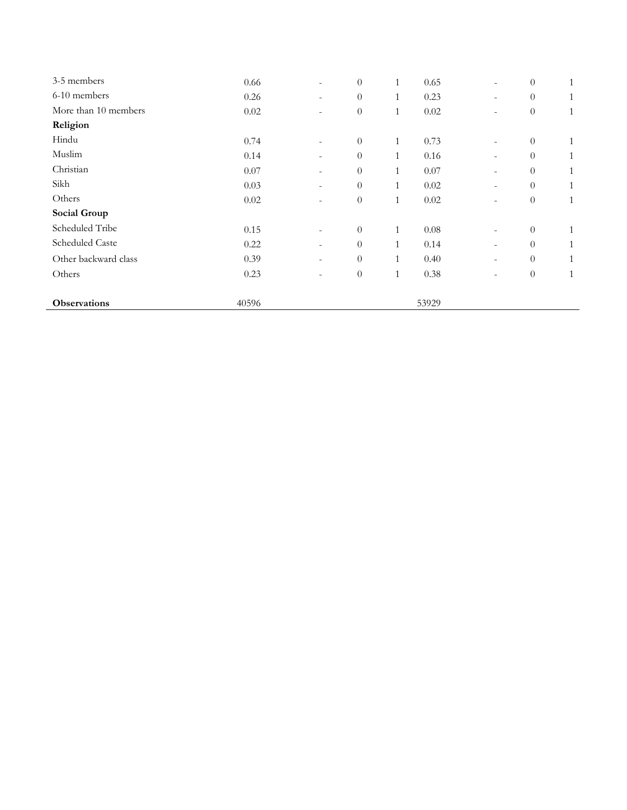| 3-5 members          | 0.66     | $\overline{\phantom{a}}$ | $\theta$         | $\mathbf{1}$ | 0.65     | $\overline{\phantom{a}}$ | $\theta$         | $\mathbf{1}$ |
|----------------------|----------|--------------------------|------------------|--------------|----------|--------------------------|------------------|--------------|
| 6-10 members         | 0.26     | $\overline{\phantom{a}}$ | $\theta$         | $\mathbf{1}$ | 0.23     | $\overline{\phantom{a}}$ | $\theta$         | $\mathbf{1}$ |
| More than 10 members | $0.02\,$ | $\blacksquare$           | $\boldsymbol{0}$ | $\mathbf{1}$ | 0.02     | $\overline{\phantom{a}}$ | $\theta$         | $\mathbf{1}$ |
| Religion             |          |                          |                  |              |          |                          |                  |              |
| Hindu                | 0.74     | $\overline{\phantom{a}}$ | $\theta$         | $\mathbf{1}$ | 0.73     | $\overline{\phantom{a}}$ | $\theta$         | $\mathbf{1}$ |
| Muslim               | 0.14     | $\overline{\phantom{a}}$ | $\theta$         | 1            | 0.16     | $\overline{\phantom{a}}$ | $\theta$         | $\mathbf{1}$ |
| Christian            | 0.07     | $\overline{\phantom{a}}$ | $\theta$         | 1            | 0.07     | $\overline{\phantom{a}}$ | $\theta$         | 1            |
| Sikh                 | 0.03     | $\overline{\phantom{a}}$ | $\theta$         | $\mathbf{1}$ | 0.02     | $\overline{\phantom{a}}$ | $\theta$         | $\mathbf{1}$ |
| Others               | 0.02     | $\overline{\phantom{a}}$ | $\boldsymbol{0}$ | $\mathbf{1}$ | 0.02     | $\overline{\phantom{a}}$ | $\theta$         | $\mathbf{1}$ |
| Social Group         |          |                          |                  |              |          |                          |                  |              |
| Scheduled Tribe      | 0.15     | $\overline{\phantom{a}}$ | $\theta$         | $\mathbf{1}$ | $0.08\,$ | $\overline{\phantom{a}}$ | $\theta$         | $\mathbf{1}$ |
| Scheduled Caste      | 0.22     | $\overline{\phantom{a}}$ | $\overline{0}$   | 1            | 0.14     | $\overline{\phantom{a}}$ | $\theta$         | 1            |
| Other backward class | 0.39     | $\overline{\phantom{a}}$ | $\boldsymbol{0}$ | $\mathbf{1}$ | 0.40     | $\overline{\phantom{a}}$ | $\theta$         | $\mathbf{1}$ |
| Others               | 0.23     | $\overline{\phantom{a}}$ | $\theta$         | $\mathbf{1}$ | 0.38     | $\overline{\phantom{a}}$ | $\boldsymbol{0}$ | $\mathbf{1}$ |
| <b>Observations</b>  | 40596    |                          |                  |              | 53929    |                          |                  |              |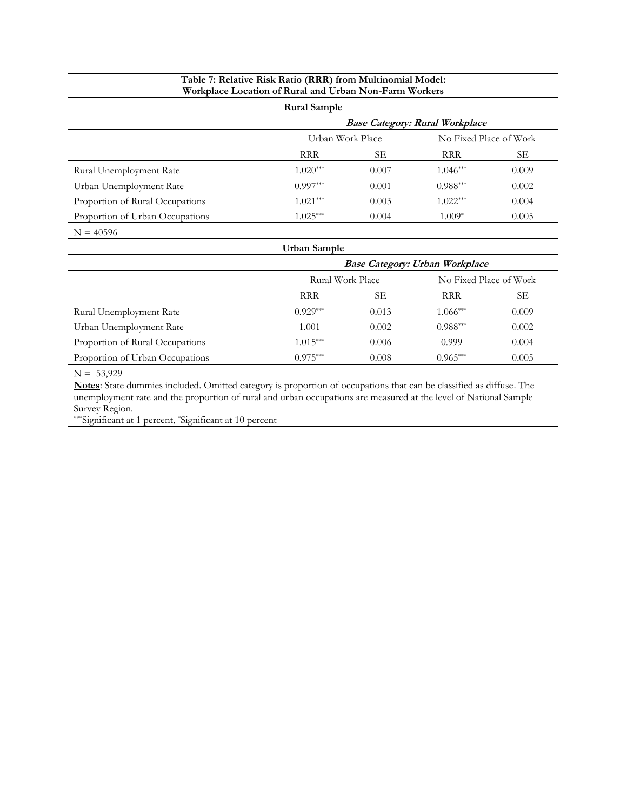#### **Table 7: Relative Risk Ratio (RRR) from Multinomial Model: Workplace Location of Rural and Urban Non-Farm Workers**

| <b>Rural Sample</b>             |                                       |       |                        |       |  |  |  |  |  |
|---------------------------------|---------------------------------------|-------|------------------------|-------|--|--|--|--|--|
|                                 | <b>Base Category: Rural Workplace</b> |       |                        |       |  |  |  |  |  |
|                                 | Urban Work Place                      |       | No Fixed Place of Work |       |  |  |  |  |  |
|                                 | <b>RRR</b>                            | SЕ    | <b>RRR</b>             | SЕ    |  |  |  |  |  |
| Rural Unemployment Rate         | $1.020***$                            | 0.007 | $1.046***$             | 0.009 |  |  |  |  |  |
| Urban Unemployment Rate         | $0.997***$                            | 0.001 | $0.988***$             | 0.002 |  |  |  |  |  |
| Proportion of Rural Occupations | $1.021***$                            | 0.003 | $1.022***$             | 0.004 |  |  |  |  |  |
| Proportion of Urban Occupations | $1.025***$                            | 0.004 | $1.009*$               | 0.005 |  |  |  |  |  |
| $N = 40596$                     |                                       |       |                        |       |  |  |  |  |  |

|                                 | Urban Sample     |       |                                       |       |
|---------------------------------|------------------|-------|---------------------------------------|-------|
|                                 |                  |       | <b>Base Category: Urban Workplace</b> |       |
|                                 | Rural Work Place |       | No Fixed Place of Work                |       |
|                                 | <b>RRR</b>       | SЕ    | <b>RRR</b>                            | SЕ    |
| Rural Unemployment Rate         | $0.929***$       | 0.013 | $1.066***$                            | 0.009 |
| Urban Unemployment Rate         | 1.001            | 0.002 | $0.988***$                            | 0.002 |
| Proportion of Rural Occupations | $1.015***$       | 0.006 | 0.999                                 | 0.004 |
| Proportion of Urban Occupations | $0.975***$       | 0.008 | $0.965***$                            | 0.005 |
|                                 |                  |       |                                       |       |

 $N = 53,929$ 

**Notes**: State dummies included. Omitted category is proportion of occupations that can be classified as diffuse. The unemployment rate and the proportion of rural and urban occupations are measured at the level of National Sample Survey Region.

\*\*\*Significant at 1 percent, \*Significant at 10 percent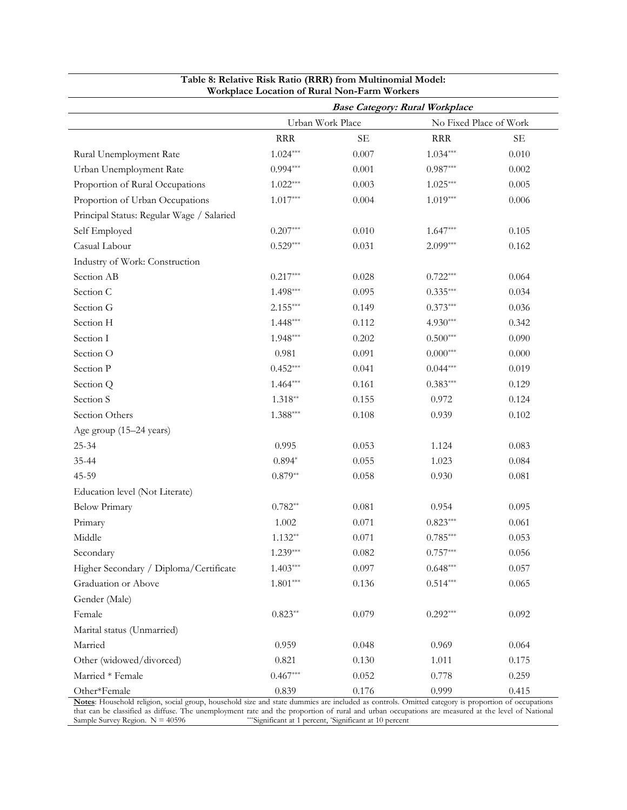|                                           | workplace location of Kural Inon-Farm workers |          | <b>Base Category: Rural Workplace</b> |          |
|-------------------------------------------|-----------------------------------------------|----------|---------------------------------------|----------|
|                                           | Urban Work Place                              |          | No Fixed Place of Work                |          |
|                                           | <b>RRR</b>                                    | $\rm SE$ | <b>RRR</b>                            | $\rm SE$ |
| Rural Unemployment Rate                   | $1.024***$                                    | 0.007    | $1.034***$                            | 0.010    |
| Urban Unemployment Rate                   | $0.994***$                                    | 0.001    | $0.987***$                            | 0.002    |
| Proportion of Rural Occupations           | $1.022***$                                    | 0.003    | $1.025***$                            | 0.005    |
| Proportion of Urban Occupations           | $1.017***$                                    | 0.004    | $1.019***$                            | 0.006    |
| Principal Status: Regular Wage / Salaried |                                               |          |                                       |          |
| Self Employed                             | $0.207***$                                    | 0.010    | $1.647***$                            | 0.105    |
| Casual Labour                             | $0.529***$                                    | 0.031    | $2.099***$                            | 0.162    |
| Industry of Work: Construction            |                                               |          |                                       |          |
| Section AB                                | $0.217***$                                    | 0.028    | $0.722***$                            | 0.064    |
| Section C                                 | $1.498***$                                    | 0.095    | $0.335***$                            | 0.034    |
| Section G                                 | $2.155***$                                    | 0.149    | $0.373***$                            | 0.036    |
| Section H                                 | $1.448***$                                    | 0.112    | $4.930***$                            | 0.342    |
| Section I                                 | $1.948***$                                    | 0.202    | $0.500***$                            | 0.090    |
| Section O                                 | 0.981                                         | 0.091    | $0.000^{***}$                         | 0.000    |
| Section P                                 | $0.452***$                                    | 0.041    | $0.044***$                            | 0.019    |
| Section Q                                 | $1.464***$                                    | 0.161    | $0.383***$                            | 0.129    |
| Section S                                 | $1.318**$                                     | 0.155    | 0.972                                 | 0.124    |
| Section Others                            | $1.388***$                                    | 0.108    | 0.939                                 | 0.102    |
| Age group (15-24 years)                   |                                               |          |                                       |          |
| 25-34                                     | 0.995                                         | 0.053    | 1.124                                 | 0.083    |
| 35-44                                     | $0.894*$                                      | 0.055    | 1.023                                 | 0.084    |
| 45-59                                     | $0.879**$                                     | 0.058    | 0.930                                 | 0.081    |
| Education level (Not Literate)            |                                               |          |                                       |          |
| <b>Below Primary</b>                      | $0.782**$                                     | 0.081    | 0.954                                 | 0.095    |
| Primary                                   | 1.002                                         | 0.071    | $0.823***$                            | 0.061    |
| Middle                                    | $1.132**$                                     | 0.071    | $0.785***$                            | 0.053    |
| Secondary                                 | $1.239***$                                    | 0.082    | $0.757***$                            | 0.056    |
| Higher Secondary / Diploma/Certificate    | $1.403***$                                    | 0.097    | $0.648***$                            | 0.057    |
| Graduation or Above                       | $1.801***$                                    | 0.136    | $0.514***$                            | 0.065    |
| Gender (Male)                             |                                               |          |                                       |          |
| Female                                    | $0.823**$                                     | 0.079    | $0.292***$                            | 0.092    |
| Marital status (Unmarried)                |                                               |          |                                       |          |
| Married                                   | 0.959                                         | 0.048    | 0.969                                 | 0.064    |
| Other (widowed/divorced)                  | 0.821                                         | 0.130    | 1.011                                 | 0.175    |
| Married * Female                          | $0.467***$                                    | 0.052    | 0.778                                 | 0.259    |
| Other*Female                              | 0.839                                         | 0.176    | 0.999                                 | 0.415    |

#### **Table 8: Relative Risk Ratio (RRR) from Multinomial Model: Workplace Location of Rural Non-Farm Workers**

**Notes**: Household religion, social group, household size and state dummies are included as controls. Omitted category is proportion of occupations that can be classified as diffuse. The unemployment rate and the proportion of rural and urban occupations are measured at the level of National Sample Survey Region.  $N = 40596$ \*\*\*Significant at 1 percent, \*Significant at 10 percent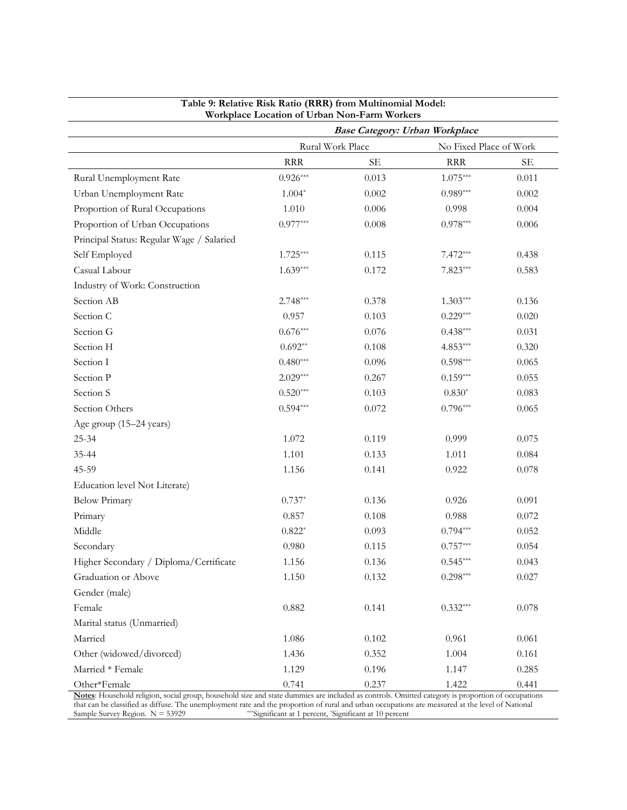|                                           | Workplace Location of Urban Non-Farm Workers |                                       |                        |       |
|-------------------------------------------|----------------------------------------------|---------------------------------------|------------------------|-------|
|                                           |                                              | <b>Base Category: Urban Workplace</b> |                        |       |
|                                           | Rural Work Place                             |                                       | No Fixed Place of Work |       |
|                                           | <b>RRR</b>                                   | <b>SE</b>                             | <b>RRR</b>             | SE    |
| Rural Unemployment Rate                   | $0.926***$                                   | 0.013                                 | $1.075***$             | 0.011 |
| Urban Unemployment Rate                   | $1.004*$                                     | 0.002                                 | $0.989***$             | 0.002 |
| Proportion of Rural Occupations           | 1.010                                        | 0.006                                 | 0.998                  | 0.004 |
| Proportion of Urban Occupations           | $0.977***$                                   | 0.008                                 | $0.978***$             | 0.006 |
| Principal Status: Regular Wage / Salaried |                                              |                                       |                        |       |
| Self Employed                             | $1.725***$                                   | 0.115                                 | $7.472***$             | 0.438 |
| Casual Labour                             | $1.639***$                                   | 0.172                                 | $7.823***$             | 0.583 |
| Industry of Work: Construction            |                                              |                                       |                        |       |
| Section AB                                | $2.748***$                                   | 0.378                                 | $1.303***$             | 0.136 |
| Section C                                 | 0.957                                        | 0.103                                 | $0.229***$             | 0.020 |
| Section G                                 | $0.676***$                                   | 0.076                                 | $0.438***$             | 0.031 |
| Section H                                 | $0.692**$                                    | 0.108                                 | $4.853***$             | 0.320 |
| Section I                                 | $0.480***$                                   | 0.096                                 | $0.598***$             | 0.065 |
| Section P                                 | $2.029***$                                   | 0.267                                 | $0.159***$             | 0.055 |
| Section S                                 | $0.520***$                                   | 0.103                                 | $0.830*$               | 0.083 |
| Section Others                            | $0.594***$                                   | 0.072                                 | $0.796***$             | 0.065 |
| Age group (15-24 years)                   |                                              |                                       |                        |       |
| 25-34                                     | 1.072                                        | 0.119                                 | 0.999                  | 0.075 |
| 35-44                                     | 1.101                                        | 0.133                                 | 1.011                  | 0.084 |
| 45-59                                     | 1.156                                        | 0.141                                 | 0.922                  | 0.078 |
| Education level Not Literate)             |                                              |                                       |                        |       |
| <b>Below Primary</b>                      | $0.737*$                                     | 0.136                                 | 0.926                  | 0.091 |
| Primary                                   | 0.857                                        | 0.108                                 | 0.988                  | 0.072 |
| Middle                                    | $0.822*$                                     | 0.093                                 | $0.794***$             | 0.052 |
| Secondary                                 | 0.980                                        | 0.115                                 | $0.757***$             | 0.054 |
| Higher Secondary / Diploma/Certificate    | 1.156                                        | 0.136                                 | $0.545***$             | 0.043 |
| Graduation or Above                       | 1.150                                        | 0.132                                 | $0.298***$             | 0.027 |
| Gender (male)                             |                                              |                                       |                        |       |
| Female                                    | 0.882                                        | 0.141                                 | $0.332***$             | 0.078 |
| Marital status (Unmarried)                |                                              |                                       |                        |       |
| Married                                   | 1.086                                        | 0.102                                 | 0.961                  | 0.061 |
| Other (widowed/divorced)                  | 1.436                                        | 0.352                                 | 1.004                  | 0.161 |
| Married * Female                          | 1.129                                        | 0.196                                 | 1.147                  | 0.285 |
| Other*Female                              | 0.741                                        | 0.237                                 | 1.422                  | 0.441 |

# **Table 9: Relative Risk Ratio (RRR) from Multinomial Model:**

**Notes**: Household religion, social group, household size and state dummies are included as controls. Omitted category is proportion of occupations that can be classified as diffuse. The unemployment rate and the proportion of rural and urban occupations are measured at the level of National Sample Survey Region. N = 53929 \*\*\*\*Significant at 1 percent, \*Significant at 10 percent